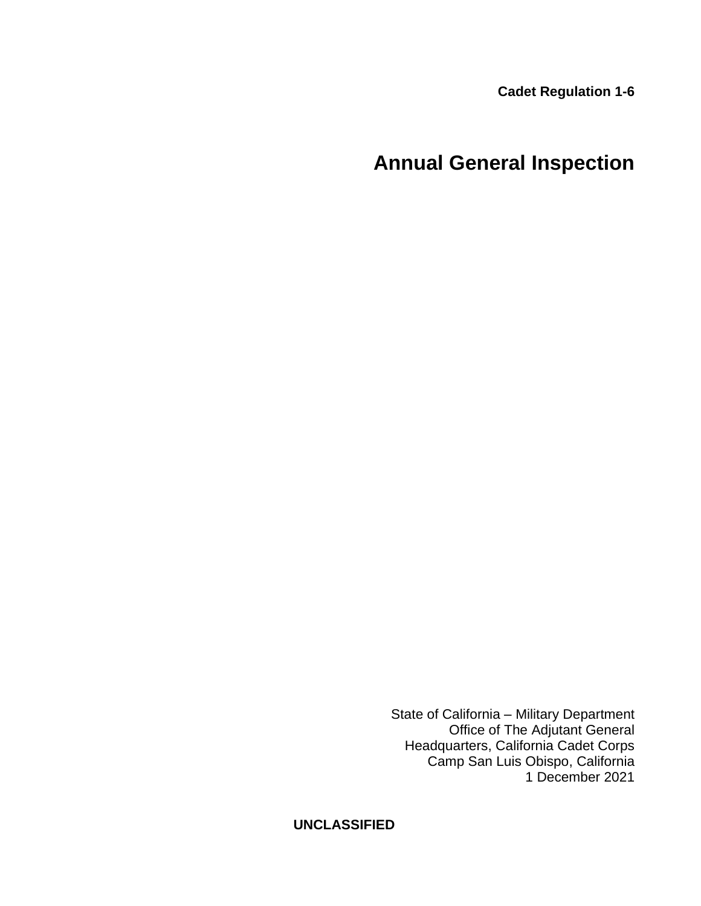**Cadet Regulation 1-6**

**Annual General Inspection**

State of California – Military Department Office of The Adjutant General Headquarters, California Cadet Corps Camp San Luis Obispo, California 1 December 2021

**UNCLASSIFIED**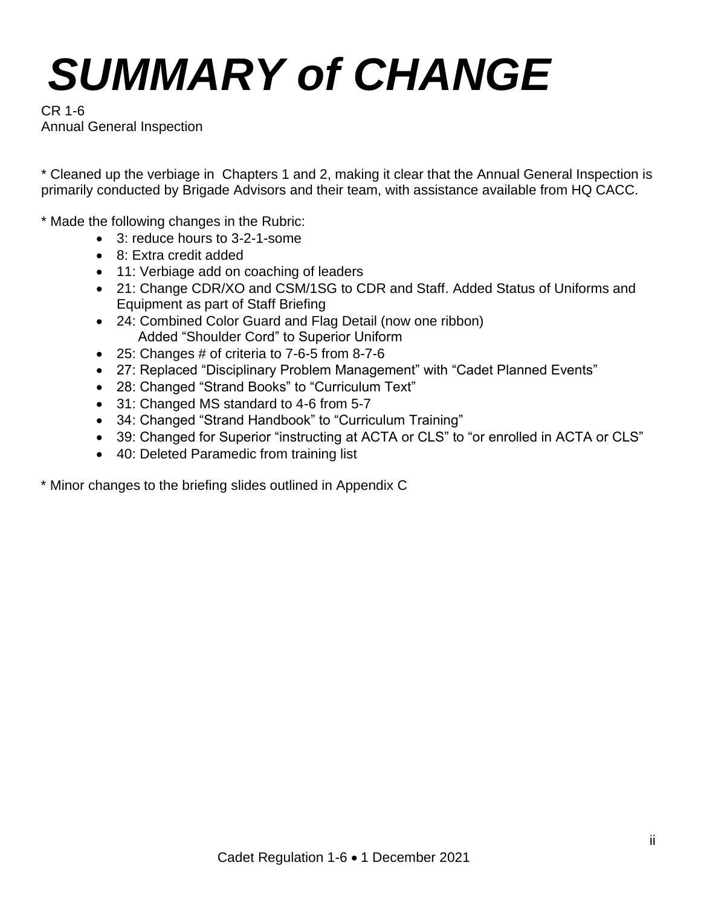# *SUMMARY of CHANGE*

CR 1-6 Annual General Inspection

\* Cleaned up the verbiage in Chapters 1 and 2, making it clear that the Annual General Inspection is primarily conducted by Brigade Advisors and their team, with assistance available from HQ CACC.

\* Made the following changes in the Rubric:

- 3: reduce hours to 3-2-1-some
- 8: Extra credit added
- 11: Verbiage add on coaching of leaders
- 21: Change CDR/XO and CSM/1SG to CDR and Staff. Added Status of Uniforms and Equipment as part of Staff Briefing
- 24: Combined Color Guard and Flag Detail (now one ribbon) Added "Shoulder Cord" to Superior Uniform
- 25: Changes # of criteria to 7-6-5 from 8-7-6
- 27: Replaced "Disciplinary Problem Management" with "Cadet Planned Events"
- 28: Changed "Strand Books" to "Curriculum Text"
- 31: Changed MS standard to 4-6 from 5-7
- 34: Changed "Strand Handbook" to "Curriculum Training"
- 39: Changed for Superior "instructing at ACTA or CLS" to "or enrolled in ACTA or CLS"
- 40: Deleted Paramedic from training list

Minor changes to the briefing slides outlined in Appendix C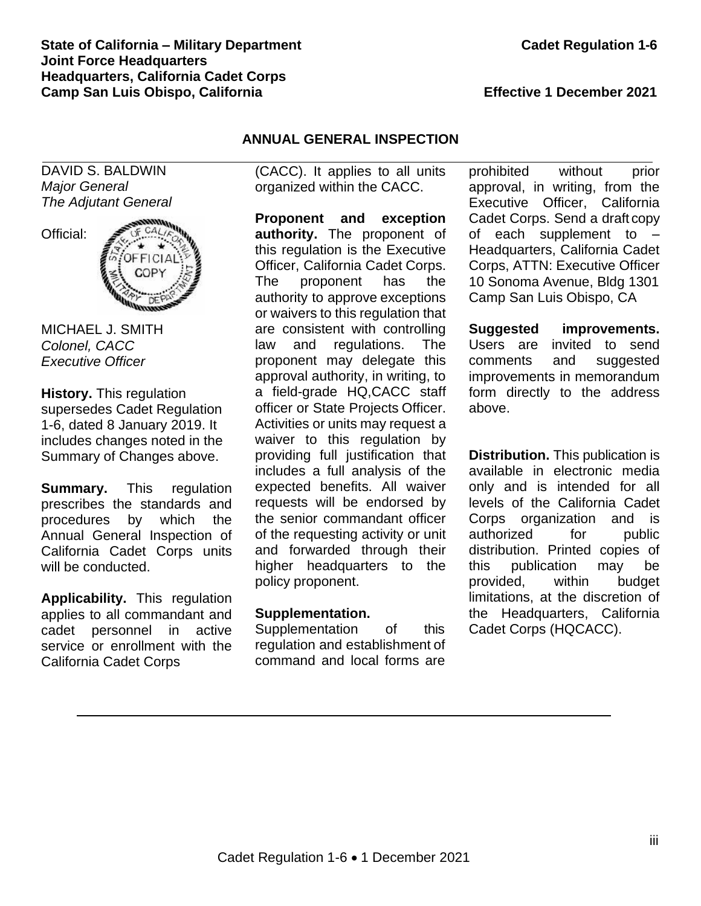DAVID S. BALDWIN *Major General The Adjutant General*

Official:



MICHAEL J. SMITH *Colonel, CACC Executive Officer*

**History.** This regulation supersedes Cadet Regulation 1-6, dated 8 January 2019. It includes changes noted in the Summary of Changes above.

**Summary.** This regulation prescribes the standards and procedures by which the Annual General Inspection of California Cadet Corps units will be conducted.

**Applicability.** This regulation applies to all commandant and cadet personnel in active service or enrollment with the California Cadet Corps

# **ANNUAL GENERAL INSPECTION**

(CACC). It applies to all units organized within the CACC.

**Proponent and exception authority.** The proponent of this regulation is the Executive Officer, California Cadet Corps. The proponent has the authority to approve exceptions or waivers to this regulation that are consistent with controlling law and regulations. The proponent may delegate this approval authority, in writing, to a field-grade HQ,CACC staff officer or State Projects Officer. Activities or units may request a waiver to this regulation by providing full justification that includes a full analysis of the expected benefits. All waiver requests will be endorsed by the senior commandant officer of the requesting activity or unit and forwarded through their higher headquarters to the policy proponent.

#### **Supplementation.**

Supplementation of this regulation and establishment of command and local forms are

prohibited without prior approval, in writing, from the Executive Officer, California Cadet Corps. Send a draft copy of each supplement to – Headquarters, California Cadet Corps, ATTN: Executive Officer 10 Sonoma Avenue, Bldg 1301 Camp San Luis Obispo, CA

**Suggested improvements.**  Users are invited to send comments and suggested improvements in memorandum form directly to the address above.

**Distribution.** This publication is available in electronic media only and is intended for all levels of the California Cadet Corps organization and is authorized for public distribution. Printed copies of this publication may be provided, within budget limitations, at the discretion of the Headquarters, California Cadet Corps (HQCACC).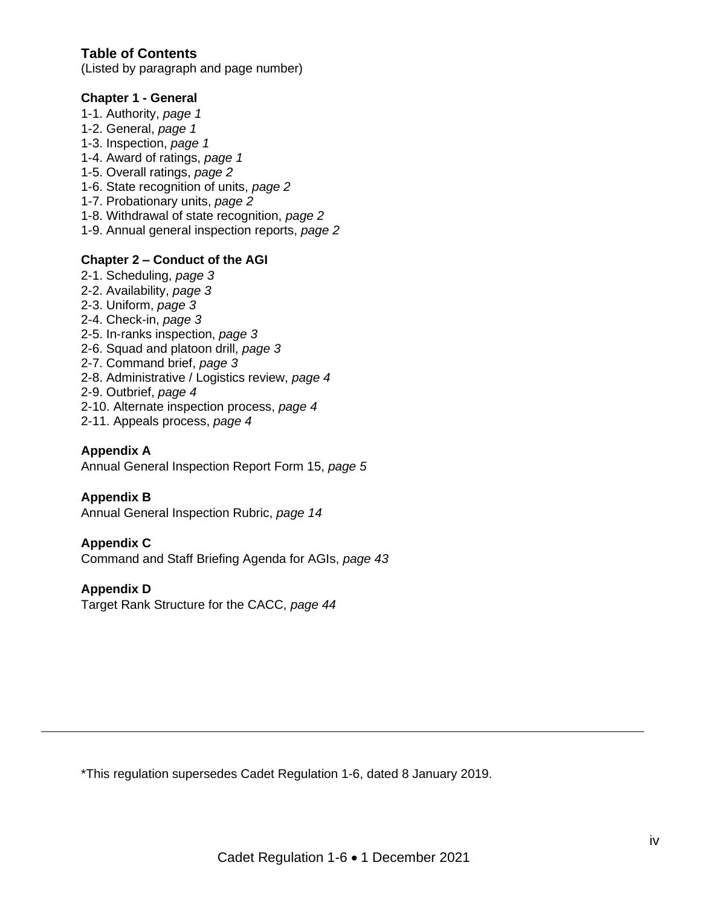# **Table of Contents**

(Listed by paragraph and page number)

#### **Chapter 1 - General**

- 1-1. Authority, *page 1*
- 1-2. General, *page 1*
- 1-3. Inspection, *page 1*
- 1-4. Award of ratings, *page 1*
- 1-5. Overall ratings, *page 2*
- 1-6. State recognition of units, *page 2*
- 1-7. Probationary units, *page 2*
- 1-8. Withdrawal of state recognition, *page 2*
- 1-9. Annual general inspection reports, *page 2*

#### **Chapter 2 – Conduct of the AGI**

- 2-1. Scheduling, *page 3*
- 2-2. Availability, *page 3*
- 2-3. Uniform, *page 3*
- 2-4. Check-in, *page 3*
- 2-5. In-ranks inspection, *page 3*
- 2-6. Squad and platoon drill, *page 3*
- 2-7. Command brief, *page 3*
- 2-8. Administrative / Logistics review, *page 4*
- 2-9. Outbrief, *page 4*
- 2-10. Alternate inspection process, *page 4*
- 2-11. Appeals process, *page 4*

#### **Appendix A**

Annual General Inspection Report Form 15, *page 5*

#### **Appendix B**

Annual General Inspection Rubric, *page 14*

#### **Appendix C**

Command and Staff Briefing Agenda for AGIs, *page 43*

#### **Appendix D**

Target Rank Structure for the CACC, *page 44*

\*This regulation supersedes Cadet Regulation 1-6, dated 8 January 2019.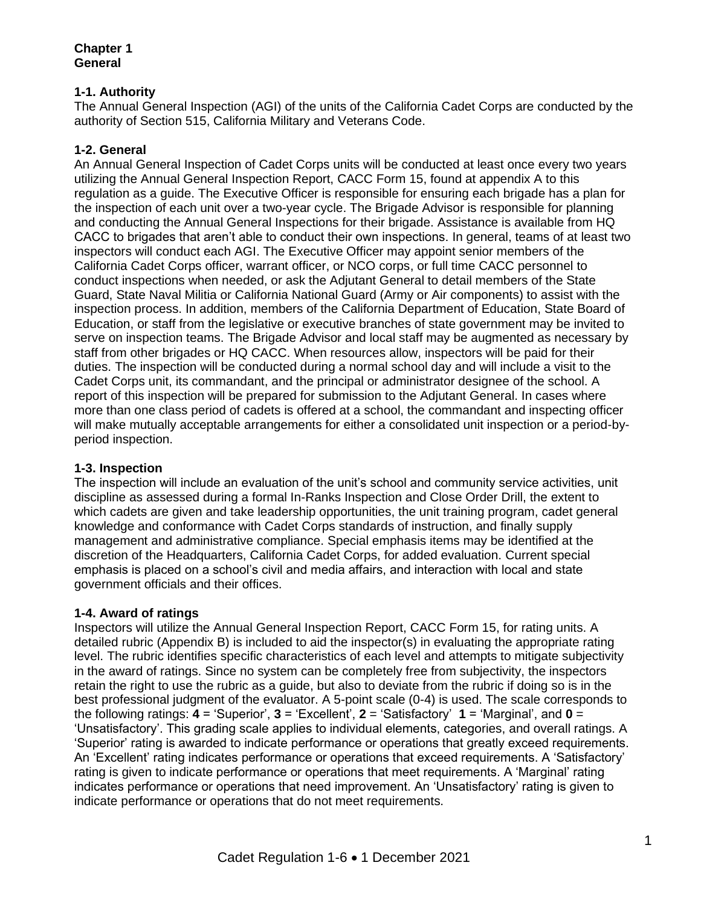# **Chapter 1 General**

# **1-1. Authority**

The Annual General Inspection (AGI) of the units of the California Cadet Corps are conducted by the authority of Section 515, California Military and Veterans Code.

# **1-2. General**

An Annual General Inspection of Cadet Corps units will be conducted at least once every two years utilizing the Annual General Inspection Report, CACC Form 15, found at appendix A to this regulation as a guide. The Executive Officer is responsible for ensuring each brigade has a plan for the inspection of each unit over a two-year cycle. The Brigade Advisor is responsible for planning and conducting the Annual General Inspections for their brigade. Assistance is available from HQ CACC to brigades that aren't able to conduct their own inspections. In general, teams of at least two inspectors will conduct each AGI. The Executive Officer may appoint senior members of the California Cadet Corps officer, warrant officer, or NCO corps, or full time CACC personnel to conduct inspections when needed, or ask the Adjutant General to detail members of the State Guard, State Naval Militia or California National Guard (Army or Air components) to assist with the inspection process. In addition, members of the California Department of Education, State Board of Education, or staff from the legislative or executive branches of state government may be invited to serve on inspection teams. The Brigade Advisor and local staff may be augmented as necessary by staff from other brigades or HQ CACC. When resources allow, inspectors will be paid for their duties. The inspection will be conducted during a normal school day and will include a visit to the Cadet Corps unit, its commandant, and the principal or administrator designee of the school. A report of this inspection will be prepared for submission to the Adjutant General. In cases where more than one class period of cadets is offered at a school, the commandant and inspecting officer will make mutually acceptable arrangements for either a consolidated unit inspection or a period-byperiod inspection.

# **1-3. Inspection**

The inspection will include an evaluation of the unit's school and community service activities, unit discipline as assessed during a formal In-Ranks Inspection and Close Order Drill, the extent to which cadets are given and take leadership opportunities, the unit training program, cadet general knowledge and conformance with Cadet Corps standards of instruction, and finally supply management and administrative compliance. Special emphasis items may be identified at the discretion of the Headquarters, California Cadet Corps, for added evaluation. Current special emphasis is placed on a school's civil and media affairs, and interaction with local and state government officials and their offices.

# **1-4. Award of ratings**

Inspectors will utilize the Annual General Inspection Report, CACC Form 15, for rating units. A detailed rubric (Appendix B) is included to aid the inspector(s) in evaluating the appropriate rating level. The rubric identifies specific characteristics of each level and attempts to mitigate subjectivity in the award of ratings. Since no system can be completely free from subjectivity, the inspectors retain the right to use the rubric as a guide, but also to deviate from the rubric if doing so is in the best professional judgment of the evaluator. A 5-point scale (0-4) is used. The scale corresponds to the following ratings: **4** = 'Superior', **3** = 'Excellent', **2** = 'Satisfactory' **1** = 'Marginal', and **0** = 'Unsatisfactory'. This grading scale applies to individual elements, categories, and overall ratings. A 'Superior' rating is awarded to indicate performance or operations that greatly exceed requirements. An 'Excellent' rating indicates performance or operations that exceed requirements. A 'Satisfactory' rating is given to indicate performance or operations that meet requirements. A 'Marginal' rating indicates performance or operations that need improvement. An 'Unsatisfactory' rating is given to indicate performance or operations that do not meet requirements.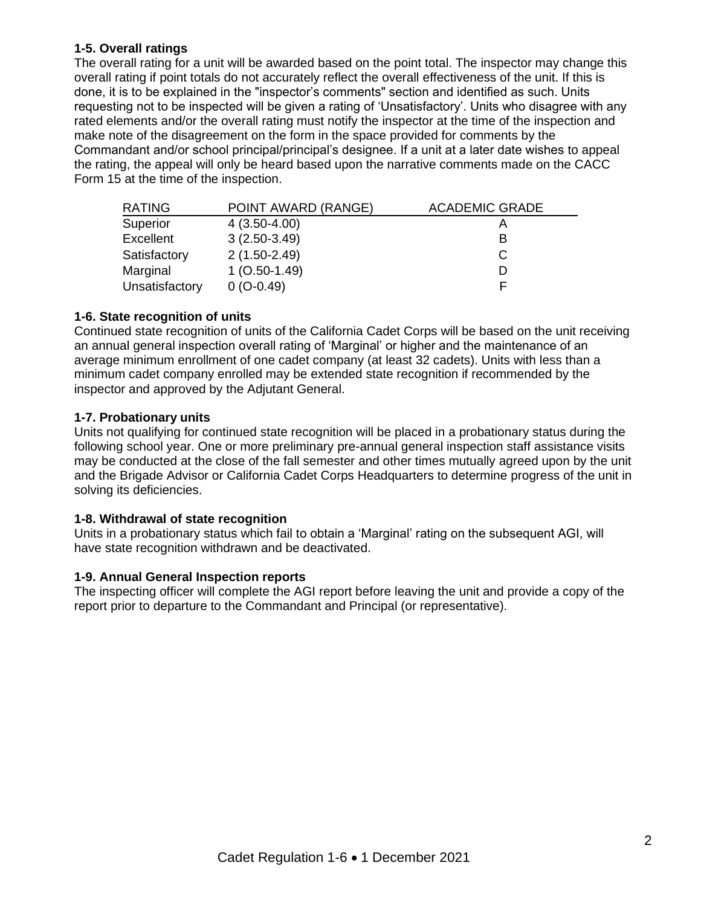# **1-5. Overall ratings**

The overall rating for a unit will be awarded based on the point total. The inspector may change this overall rating if point totals do not accurately reflect the overall effectiveness of the unit. If this is done, it is to be explained in the "inspector's comments" section and identified as such. Units requesting not to be inspected will be given a rating of 'Unsatisfactory'. Units who disagree with any rated elements and/or the overall rating must notify the inspector at the time of the inspection and make note of the disagreement on the form in the space provided for comments by the Commandant and/or school principal/principal's designee. If a unit at a later date wishes to appeal the rating, the appeal will only be heard based upon the narrative comments made on the CACC Form 15 at the time of the inspection.

| RATING           | POINT AWARD (RANGE) | <b>ACADEMIC GRADE</b> |
|------------------|---------------------|-----------------------|
| Superior         | $4(3.50-4.00)$      |                       |
| <b>Excellent</b> | $3(2.50-3.49)$      | в                     |
| Satisfactory     | $2(1.50-2.49)$      | С                     |
| Marginal         | $1(0.50-1.49)$      | D                     |
| Unsatisfactory   | $0(O-0.49)$         |                       |

#### **1-6. State recognition of units**

Continued state recognition of units of the California Cadet Corps will be based on the unit receiving an annual general inspection overall rating of 'Marginal' or higher and the maintenance of an average minimum enrollment of one cadet company (at least 32 cadets). Units with less than a minimum cadet company enrolled may be extended state recognition if recommended by the inspector and approved by the Adjutant General.

# **1-7. Probationary units**

Units not qualifying for continued state recognition will be placed in a probationary status during the following school year. One or more preliminary pre-annual general inspection staff assistance visits may be conducted at the close of the fall semester and other times mutually agreed upon by the unit and the Brigade Advisor or California Cadet Corps Headquarters to determine progress of the unit in solving its deficiencies.

#### **1-8. Withdrawal of state recognition**

Units in a probationary status which fail to obtain a 'Marginal' rating on the subsequent AGI, will have state recognition withdrawn and be deactivated.

#### **1-9. Annual General Inspection reports**

The inspecting officer will complete the AGI report before leaving the unit and provide a copy of the report prior to departure to the Commandant and Principal (or representative).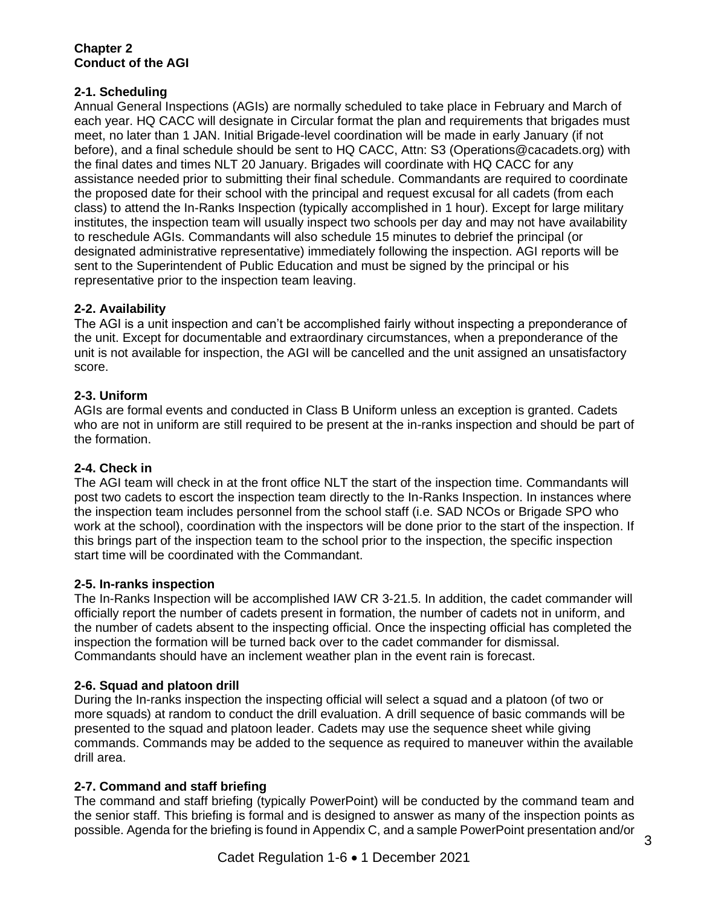# **Chapter 2 Conduct of the AGI**

# **2-1. Scheduling**

Annual General Inspections (AGIs) are normally scheduled to take place in February and March of each year. HQ CACC will designate in Circular format the plan and requirements that brigades must meet, no later than 1 JAN. Initial Brigade-level coordination will be made in early January (if not before), and a final schedule should be sent to HQ CACC, Attn: S3 (Operations@cacadets.org) with the final dates and times NLT 20 January. Brigades will coordinate with HQ CACC for any assistance needed prior to submitting their final schedule. Commandants are required to coordinate the proposed date for their school with the principal and request excusal for all cadets (from each class) to attend the In-Ranks Inspection (typically accomplished in 1 hour). Except for large military institutes, the inspection team will usually inspect two schools per day and may not have availability to reschedule AGIs. Commandants will also schedule 15 minutes to debrief the principal (or designated administrative representative) immediately following the inspection. AGI reports will be sent to the Superintendent of Public Education and must be signed by the principal or his representative prior to the inspection team leaving.

# **2-2. Availability**

The AGI is a unit inspection and can't be accomplished fairly without inspecting a preponderance of the unit. Except for documentable and extraordinary circumstances, when a preponderance of the unit is not available for inspection, the AGI will be cancelled and the unit assigned an unsatisfactory score.

# **2-3. Uniform**

AGIs are formal events and conducted in Class B Uniform unless an exception is granted. Cadets who are not in uniform are still required to be present at the in-ranks inspection and should be part of the formation.

# **2-4. Check in**

The AGI team will check in at the front office NLT the start of the inspection time. Commandants will post two cadets to escort the inspection team directly to the In-Ranks Inspection. In instances where the inspection team includes personnel from the school staff (i.e. SAD NCOs or Brigade SPO who work at the school), coordination with the inspectors will be done prior to the start of the inspection. If this brings part of the inspection team to the school prior to the inspection, the specific inspection start time will be coordinated with the Commandant.

# **2-5. In-ranks inspection**

The In-Ranks Inspection will be accomplished IAW CR 3-21.5. In addition, the cadet commander will officially report the number of cadets present in formation, the number of cadets not in uniform, and the number of cadets absent to the inspecting official. Once the inspecting official has completed the inspection the formation will be turned back over to the cadet commander for dismissal. Commandants should have an inclement weather plan in the event rain is forecast.

# **2-6. Squad and platoon drill**

During the In-ranks inspection the inspecting official will select a squad and a platoon (of two or more squads) at random to conduct the drill evaluation. A drill sequence of basic commands will be presented to the squad and platoon leader. Cadets may use the sequence sheet while giving commands. Commands may be added to the sequence as required to maneuver within the available drill area.

# **2-7. Command and staff briefing**

The command and staff briefing (typically PowerPoint) will be conducted by the command team and the senior staff. This briefing is formal and is designed to answer as many of the inspection points as possible. Agenda for the briefing is found in Appendix C, and a sample PowerPoint presentation and/or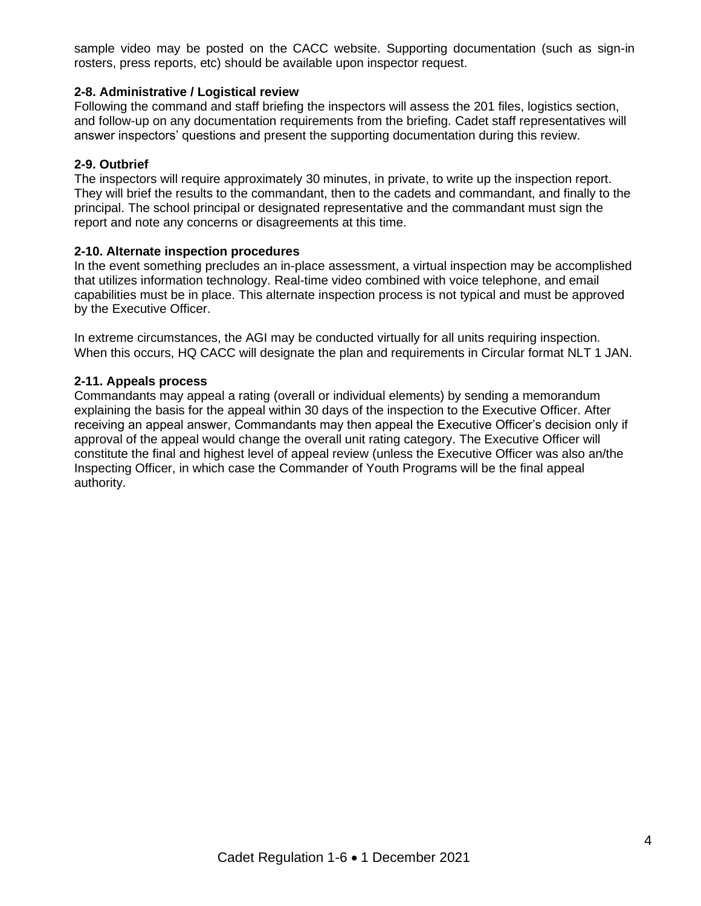sample video may be posted on the CACC website. Supporting documentation (such as sign-in rosters, press reports, etc) should be available upon inspector request.

#### **2-8. Administrative / Logistical review**

Following the command and staff briefing the inspectors will assess the 201 files, logistics section, and follow-up on any documentation requirements from the briefing. Cadet staff representatives will answer inspectors' questions and present the supporting documentation during this review.

#### **2-9. Outbrief**

The inspectors will require approximately 30 minutes, in private, to write up the inspection report. They will brief the results to the commandant, then to the cadets and commandant, and finally to the principal. The school principal or designated representative and the commandant must sign the report and note any concerns or disagreements at this time.

#### **2-10. Alternate inspection procedures**

In the event something precludes an in-place assessment, a virtual inspection may be accomplished that utilizes information technology. Real-time video combined with voice telephone, and email capabilities must be in place. This alternate inspection process is not typical and must be approved by the Executive Officer.

In extreme circumstances, the AGI may be conducted virtually for all units requiring inspection. When this occurs, HQ CACC will designate the plan and requirements in Circular format NLT 1 JAN.

# **2-11. Appeals process**

Commandants may appeal a rating (overall or individual elements) by sending a memorandum explaining the basis for the appeal within 30 days of the inspection to the Executive Officer. After receiving an appeal answer, Commandants may then appeal the Executive Officer's decision only if approval of the appeal would change the overall unit rating category. The Executive Officer will constitute the final and highest level of appeal review (unless the Executive Officer was also an/the Inspecting Officer, in which case the Commander of Youth Programs will be the final appeal authority.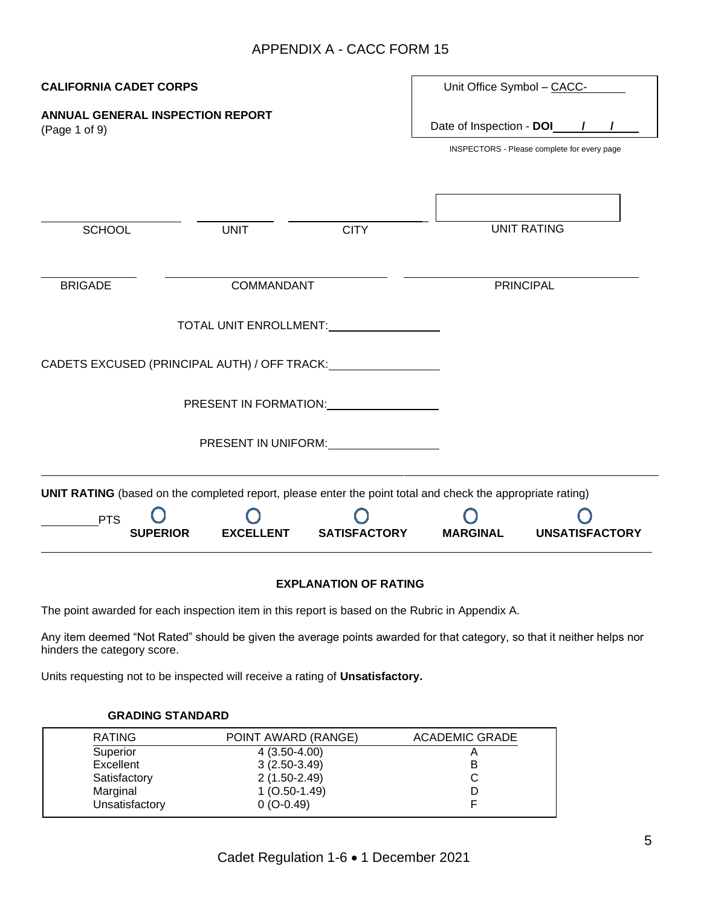# APPENDIX A - CACC FORM 15

| <b>CALIFORNIA CADET CORPS</b>                     |                 |                                                                                                                                                                                                                                |                                                                                                                                                                                                                                | Unit Office Symbol - CACC- |                                             |  |
|---------------------------------------------------|-----------------|--------------------------------------------------------------------------------------------------------------------------------------------------------------------------------------------------------------------------------|--------------------------------------------------------------------------------------------------------------------------------------------------------------------------------------------------------------------------------|----------------------------|---------------------------------------------|--|
| ANNUAL GENERAL INSPECTION REPORT<br>(Page 1 of 9) |                 |                                                                                                                                                                                                                                |                                                                                                                                                                                                                                | Date of Inspection - DOI   |                                             |  |
|                                                   |                 |                                                                                                                                                                                                                                |                                                                                                                                                                                                                                |                            | INSPECTORS - Please complete for every page |  |
|                                                   |                 |                                                                                                                                                                                                                                |                                                                                                                                                                                                                                |                            |                                             |  |
| <b>SCHOOL</b>                                     |                 | <b>UNIT</b>                                                                                                                                                                                                                    | <b>CITY</b>                                                                                                                                                                                                                    |                            | <b>UNIT RATING</b>                          |  |
| <b>BRIGADE</b>                                    |                 | COMMANDANT                                                                                                                                                                                                                     |                                                                                                                                                                                                                                |                            | <b>PRINCIPAL</b>                            |  |
|                                                   |                 |                                                                                                                                                                                                                                |                                                                                                                                                                                                                                |                            |                                             |  |
|                                                   |                 |                                                                                                                                                                                                                                | TOTAL UNIT ENROLLMENT:                                                                                                                                                                                                         |                            |                                             |  |
|                                                   |                 |                                                                                                                                                                                                                                | CADETS EXCUSED (PRINCIPAL AUTH) / OFF TRACK:                                                                                                                                                                                   |                            |                                             |  |
|                                                   |                 |                                                                                                                                                                                                                                | PRESENT IN FORMATION: The contract of the contract of the contract of the contract of the contract of the contract of the contract of the contract of the contract of the contract of the contract of the contract of the cont |                            |                                             |  |
|                                                   |                 | PRESENT IN UNIFORM: CONTROLL CONTROLLER CONTROLLER CONTROLLER CONTROLLER CONTROLLER CONTROLLER CONTROLLER CONTROLLER CONTROLLER CONTROLLER CONTROLLER CONTROLLER CONTROLLER CONTROLLER CONTROLLER CONTROLLER CONTROLLER CONTRO |                                                                                                                                                                                                                                |                            |                                             |  |
|                                                   |                 |                                                                                                                                                                                                                                | <b>UNIT RATING</b> (based on the completed report, please enter the point total and check the appropriate rating)                                                                                                              |                            |                                             |  |
| <b>PTS</b>                                        |                 |                                                                                                                                                                                                                                |                                                                                                                                                                                                                                |                            |                                             |  |
|                                                   | <b>SUPERIOR</b> | <b>EXCELLENT</b>                                                                                                                                                                                                               | <b>SATISFACTORY</b>                                                                                                                                                                                                            | <b>MARGINAL</b>            | <b>UNSATISFACTORY</b>                       |  |

#### **EXPLANATION OF RATING**

The point awarded for each inspection item in this report is based on the Rubric in Appendix A.

Any item deemed "Not Rated" should be given the average points awarded for that category, so that it neither helps nor hinders the category score.

Units requesting not to be inspected will receive a rating of **Unsatisfactory.**

| <b>RATING</b>  | POINT AWARD (RANGE) | <b>ACADEMIC GRADE</b> |
|----------------|---------------------|-----------------------|
| Superior       | $4(3.50-4.00)$      | A                     |
| Excellent      | $3(2.50-3.49)$      | в                     |
| Satisfactory   | 2 (1.50-2.49)       | С                     |
| Marginal       | $1(0.50-1.49)$      |                       |
| Unsatisfactory | $0(O-0.49)$         |                       |
|                |                     |                       |

#### **GRADING STANDARD**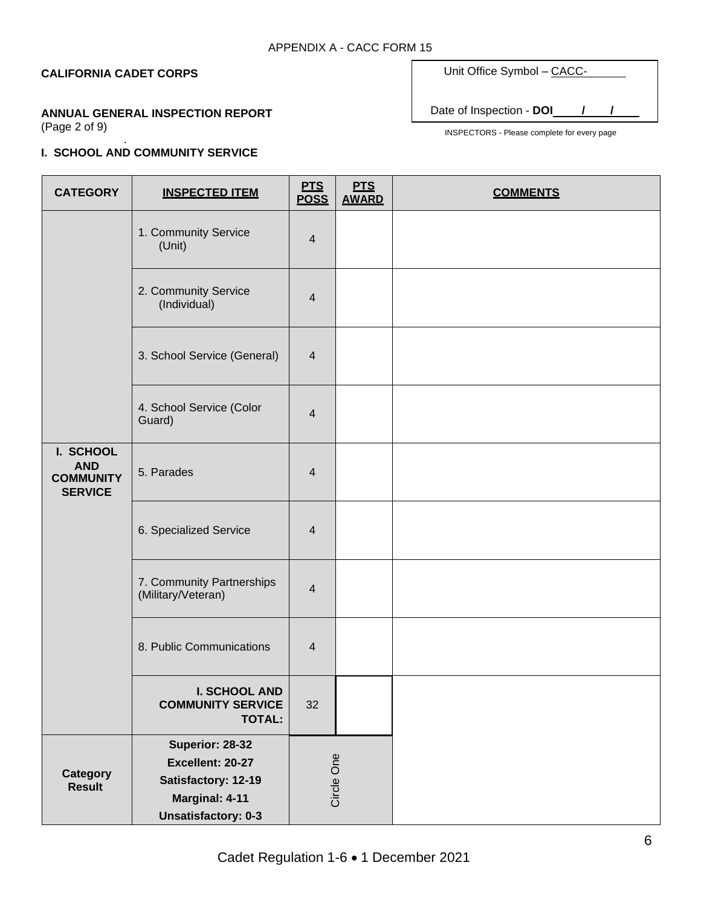.

#### **ANNUAL GENERAL INSPECTION REPORT** (Page 2 of 9)

Unit Office Symbol - CACC-

Date of Inspection - DOI 1

INSPECTORS - Please complete for every page

#### **I. SCHOOL AND COMMUNITY SERVICE**

| <b>CATEGORY</b>                                               | <b>INSPECTED ITEM</b>                                                                                             | <b>PIS</b><br><b>POSS</b> | <b>PTS</b><br><b>AWARD</b> | <b>COMMENTS</b> |
|---------------------------------------------------------------|-------------------------------------------------------------------------------------------------------------------|---------------------------|----------------------------|-----------------|
|                                                               | 1. Community Service<br>(Unit)                                                                                    | $\overline{4}$            |                            |                 |
|                                                               | 2. Community Service<br>(Individual)                                                                              | $\overline{4}$            |                            |                 |
|                                                               | 3. School Service (General)                                                                                       | $\overline{4}$            |                            |                 |
|                                                               | 4. School Service (Color<br>Guard)                                                                                | $\overline{4}$            |                            |                 |
| I. SCHOOL<br><b>AND</b><br><b>COMMUNITY</b><br><b>SERVICE</b> | 5. Parades                                                                                                        | $\overline{4}$            |                            |                 |
|                                                               | 6. Specialized Service                                                                                            | $\overline{4}$            |                            |                 |
|                                                               | 7. Community Partnerships<br>(Military/Veteran)                                                                   | $\overline{4}$            |                            |                 |
|                                                               | 8. Public Communications                                                                                          | $\overline{4}$            |                            |                 |
|                                                               | <b>I. SCHOOL AND</b><br><b>COMMUNITY SERVICE</b><br><b>TOTAL:</b>                                                 | 32                        |                            |                 |
| <b>Category</b><br><b>Result</b>                              | Superior: 28-32<br>Excellent: 20-27<br>Satisfactory: 12-19<br><b>Marginal: 4-11</b><br><b>Unsatisfactory: 0-3</b> | Circle One                |                            |                 |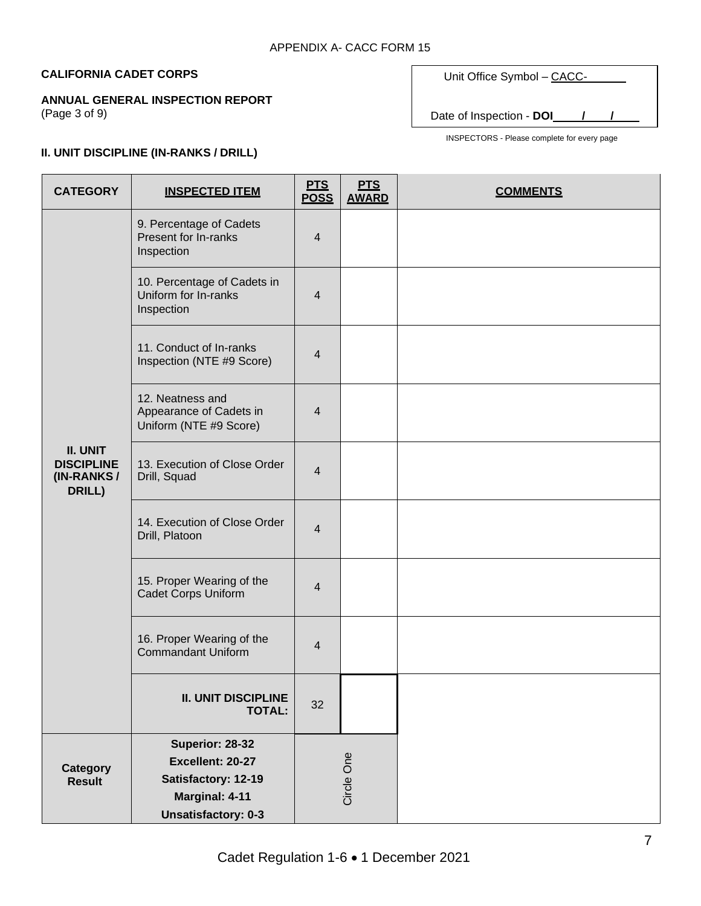#### **ANNUAL GENERAL INSPECTION REPORT**

(Page 3 of 9)

Unit Office Symbol - CACC-

Date of Inspection - **DOI / /**

INSPECTORS - Please complete for every page

# **II. UNIT DISCIPLINE (IN-RANKS / DRILL)**

| <b>CATEGORY</b>                                              | <b>INSPECTED ITEM</b>                                                                                      | <b>PTS</b><br><b>POSS</b> | <b>PTS</b><br><b>AWARD</b> | <b>COMMENTS</b> |
|--------------------------------------------------------------|------------------------------------------------------------------------------------------------------------|---------------------------|----------------------------|-----------------|
|                                                              | 9. Percentage of Cadets<br>Present for In-ranks<br>Inspection                                              | $\overline{4}$            |                            |                 |
|                                                              | 10. Percentage of Cadets in<br>Uniform for In-ranks<br>Inspection                                          | $\overline{4}$            |                            |                 |
|                                                              | 11. Conduct of In-ranks<br>Inspection (NTE #9 Score)                                                       | $\overline{4}$            |                            |                 |
|                                                              | 12. Neatness and<br>Appearance of Cadets in<br>Uniform (NTE #9 Score)                                      | 4                         |                            |                 |
| <b>II. UNIT</b><br><b>DISCIPLINE</b><br>(IN-RANKS/<br>DRILL) | 13. Execution of Close Order<br>Drill, Squad                                                               | $\overline{4}$            |                            |                 |
|                                                              | 14. Execution of Close Order<br>Drill, Platoon                                                             | $\overline{4}$            |                            |                 |
|                                                              | 15. Proper Wearing of the<br><b>Cadet Corps Uniform</b>                                                    | 4                         |                            |                 |
|                                                              | 16. Proper Wearing of the<br><b>Commandant Uniform</b>                                                     | $\overline{4}$            |                            |                 |
|                                                              | <b>II. UNIT DISCIPLINE</b><br><b>TOTAL:</b>                                                                | 32                        |                            |                 |
| <b>Category</b><br><b>Result</b>                             | Superior: 28-32<br>Excellent: 20-27<br>Satisfactory: 12-19<br>Marginal: 4-11<br><b>Unsatisfactory: 0-3</b> |                           | Circle One                 |                 |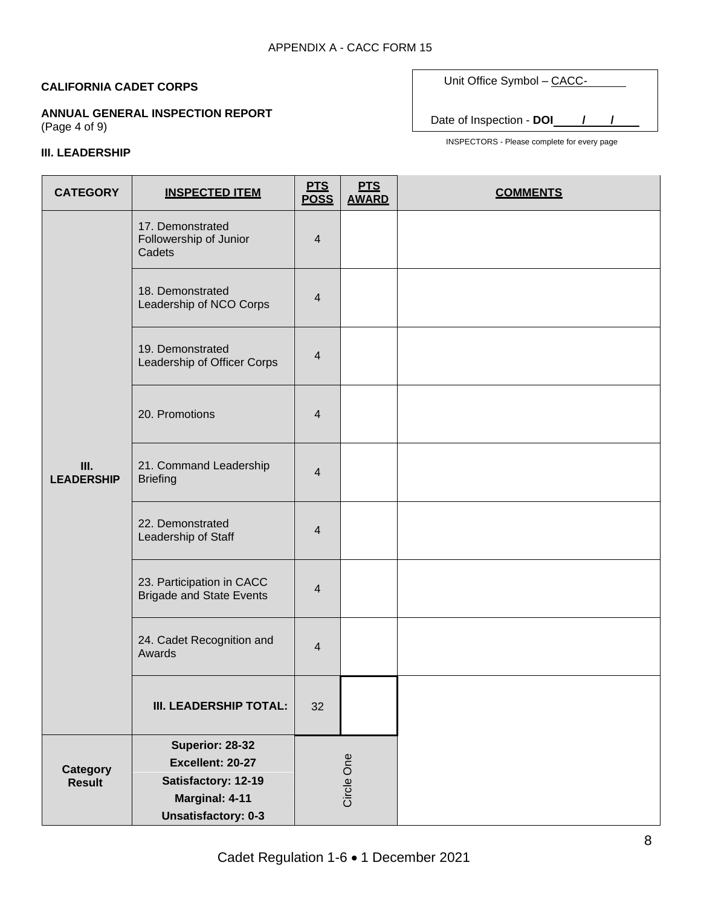**ANNUAL GENERAL INSPECTION REPORT** (Page 4 of 9)

#### **III. LEADERSHIP**

Unit Office Symbol – CACC-

Date of Inspection - **DOI / /**

INSPECTORS - Please complete for every page

| <b>CATEGORY</b>           | <b>INSPECTED ITEM</b>                                        | <b>PTS</b><br><b>POSS</b> | <b>PTS</b><br><b>AWARD</b> | <b>COMMENTS</b> |
|---------------------------|--------------------------------------------------------------|---------------------------|----------------------------|-----------------|
|                           | 17. Demonstrated<br>Followership of Junior<br>Cadets         | $\overline{4}$            |                            |                 |
|                           | 18. Demonstrated<br>Leadership of NCO Corps                  | $\overline{4}$            |                            |                 |
|                           | 19. Demonstrated<br>Leadership of Officer Corps              | $\overline{4}$            |                            |                 |
|                           | 20. Promotions                                               | $\overline{4}$            |                            |                 |
| III.<br><b>LEADERSHIP</b> | 21. Command Leadership<br><b>Briefing</b>                    | $\overline{4}$            |                            |                 |
|                           | 22. Demonstrated<br>Leadership of Staff                      | $\overline{4}$            |                            |                 |
|                           | 23. Participation in CACC<br><b>Brigade and State Events</b> | $\overline{4}$            |                            |                 |
|                           | 24. Cadet Recognition and<br>Awards                          | $\overline{4}$            |                            |                 |
|                           | III. LEADERSHIP TOTAL:                                       | 32                        |                            |                 |
|                           | Superior: 28-32                                              |                           |                            |                 |
| <b>Category</b>           | Excellent: 20-27                                             |                           | Circle One                 |                 |
| <b>Result</b>             | Satisfactory: 12-19                                          |                           |                            |                 |
|                           | Marginal: 4-11                                               |                           |                            |                 |
|                           | <b>Unsatisfactory: 0-3</b>                                   |                           |                            |                 |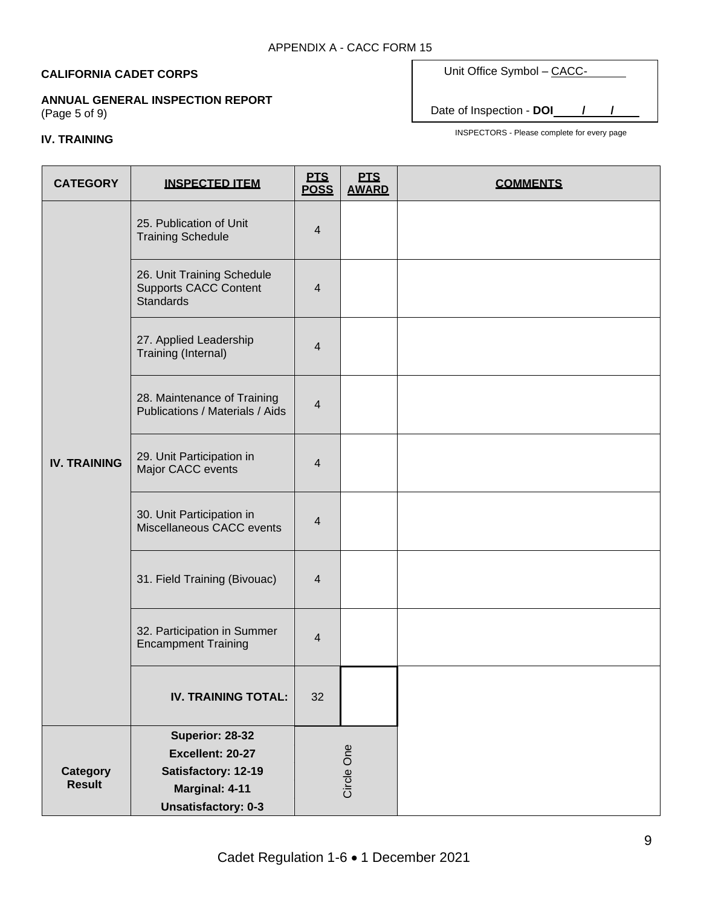# **ANNUAL GENERAL INSPECTION REPORT**

(Page 5 of 9)

#### **IV. TRAINING**

Unit Office Symbol - CACC-

Date of Inspection - **DOI / /**

INSPECTORS - Please complete for every page

| <b>CATEGORY</b>                  | <b>INSPECTED ITEM</b>                                                          | <b>PTS</b><br><b>POSS</b> | <b>PTS</b><br><b>AWARD</b> | <b>COMMENTS</b> |
|----------------------------------|--------------------------------------------------------------------------------|---------------------------|----------------------------|-----------------|
|                                  | 25. Publication of Unit<br><b>Training Schedule</b>                            | $\overline{4}$            |                            |                 |
|                                  | 26. Unit Training Schedule<br><b>Supports CACC Content</b><br><b>Standards</b> | $\overline{4}$            |                            |                 |
|                                  | 27. Applied Leadership<br>Training (Internal)                                  | $\overline{4}$            |                            |                 |
|                                  | 28. Maintenance of Training<br>Publications / Materials / Aids                 | $\overline{4}$            |                            |                 |
| <b>IV. TRAINING</b>              | 29. Unit Participation in<br>Major CACC events                                 | 4                         |                            |                 |
|                                  | 30. Unit Participation in<br>Miscellaneous CACC events                         | $\overline{4}$            |                            |                 |
|                                  | 31. Field Training (Bivouac)                                                   | 4                         |                            |                 |
|                                  | 32. Participation in Summer<br><b>Encampment Training</b>                      | $\overline{4}$            |                            |                 |
|                                  | <b>IV. TRAINING TOTAL:</b>                                                     | 32                        |                            |                 |
|                                  | Superior: 28-32                                                                |                           |                            |                 |
|                                  | Excellent: 20-27                                                               |                           | Circle One                 |                 |
| <b>Category</b><br><b>Result</b> | Satisfactory: 12-19                                                            |                           |                            |                 |
|                                  | Marginal: 4-11                                                                 |                           |                            |                 |
|                                  | <b>Unsatisfactory: 0-3</b>                                                     |                           |                            |                 |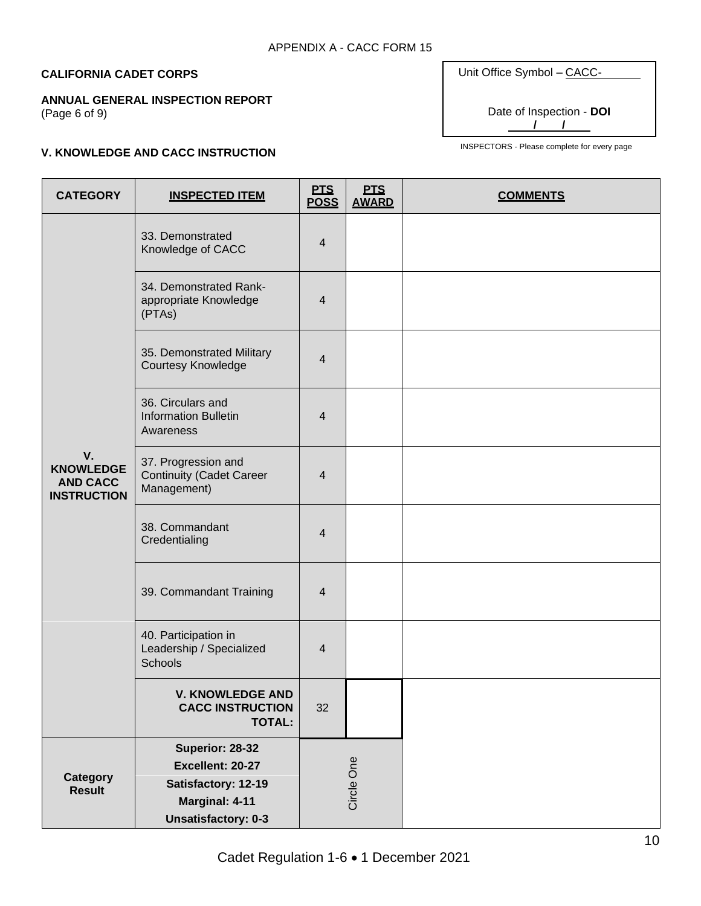# **ANNUAL GENERAL INSPECTION REPORT**

(Page 6 of 9)

# Unit Office Symbol – CACC-Date of Inspection - **DOI / /**

# **V. KNOWLEDGE AND CACC INSTRUCTION INSPECTORS** - Please complete for every page

| <b>CATEGORY</b>                                                 | <b>INSPECTED ITEM</b>                                                                                      | <b>PTS</b><br><b>POSS</b> | <b>PTS</b><br><b>AWARD</b> | <b>COMMENTS</b> |
|-----------------------------------------------------------------|------------------------------------------------------------------------------------------------------------|---------------------------|----------------------------|-----------------|
|                                                                 | 33. Demonstrated<br>Knowledge of CACC                                                                      | $\overline{4}$            |                            |                 |
|                                                                 | 34. Demonstrated Rank-<br>appropriate Knowledge<br>(PTAs)                                                  | 4                         |                            |                 |
|                                                                 | 35. Demonstrated Military<br><b>Courtesy Knowledge</b>                                                     | $\overline{4}$            |                            |                 |
|                                                                 | 36. Circulars and<br><b>Information Bulletin</b><br>Awareness                                              | 4                         |                            |                 |
| V.<br><b>KNOWLEDGE</b><br><b>AND CACC</b><br><b>INSTRUCTION</b> | 37. Progression and<br><b>Continuity (Cadet Career</b><br>Management)                                      | $\overline{4}$            |                            |                 |
|                                                                 | 38. Commandant<br>Credentialing                                                                            | 4                         |                            |                 |
|                                                                 | 39. Commandant Training                                                                                    | 4                         |                            |                 |
|                                                                 | 40. Participation in<br>Leadership / Specialized<br>Schools                                                | 4                         |                            |                 |
|                                                                 | <b>V. KNOWLEDGE AND</b><br><b>CACC INSTRUCTION</b><br><b>TOTAL:</b>                                        | 32                        |                            |                 |
| <b>Category</b><br><b>Result</b>                                | Superior: 28-32<br>Excellent: 20-27<br>Satisfactory: 12-19<br>Marginal: 4-11<br><b>Unsatisfactory: 0-3</b> |                           | Circle One                 |                 |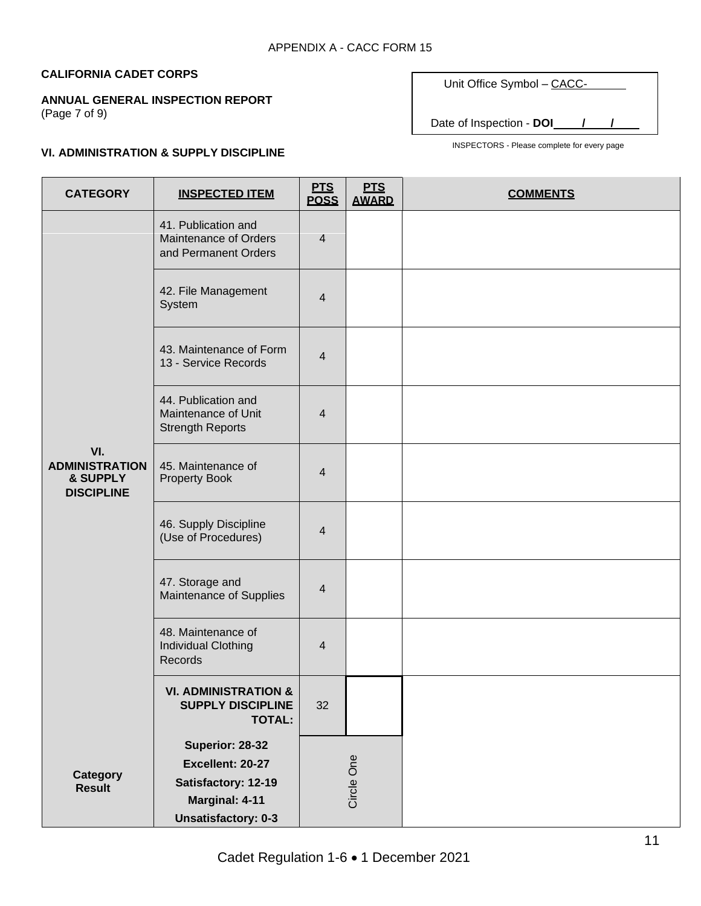#### **ANNUAL GENERAL INSPECTION REPORT**

**VI. ADMINISTRATION & SUPPLY DISCIPLINE**

(Page 7 of 9)

Unit Office Symbol – CACC-

Date of Inspection - **DOI / /**

INSPECTORS - Please complete for every page

| <b>CATEGORY</b>                                               | <b>INSPECTED ITEM</b>                                                        | <b>PTS</b><br><b>POSS</b> | <b>PTS</b><br><b>AWARD</b> | <b>COMMENTS</b> |
|---------------------------------------------------------------|------------------------------------------------------------------------------|---------------------------|----------------------------|-----------------|
|                                                               | 41. Publication and<br>Maintenance of Orders<br>and Permanent Orders         | $\overline{4}$            |                            |                 |
|                                                               | 42. File Management<br>System                                                | $\overline{4}$            |                            |                 |
|                                                               | 43. Maintenance of Form<br>13 - Service Records                              | $\overline{4}$            |                            |                 |
| VI.<br><b>ADMINISTRATION</b><br>& SUPPLY<br><b>DISCIPLINE</b> | 44. Publication and<br>Maintenance of Unit<br><b>Strength Reports</b>        | $\overline{4}$            |                            |                 |
|                                                               | 45. Maintenance of<br><b>Property Book</b>                                   | $\overline{4}$            |                            |                 |
|                                                               | 46. Supply Discipline<br>(Use of Procedures)                                 | $\overline{4}$            |                            |                 |
|                                                               | 47. Storage and<br>Maintenance of Supplies                                   | 4                         |                            |                 |
|                                                               | 48. Maintenance of<br><b>Individual Clothing</b><br>Records                  | $\overline{4}$            |                            |                 |
|                                                               | <b>VI. ADMINISTRATION &amp;</b><br><b>SUPPLY DISCIPLINE</b><br><b>TOTAL:</b> | 32                        |                            |                 |
|                                                               | Superior: 28-32                                                              |                           |                            |                 |
| <b>Category</b>                                               | Excellent: 20-27                                                             |                           |                            |                 |
| <b>Result</b>                                                 | Satisfactory: 12-19<br>Marginal: 4-11                                        |                           | Circle One                 |                 |
|                                                               | <b>Unsatisfactory: 0-3</b>                                                   |                           |                            |                 |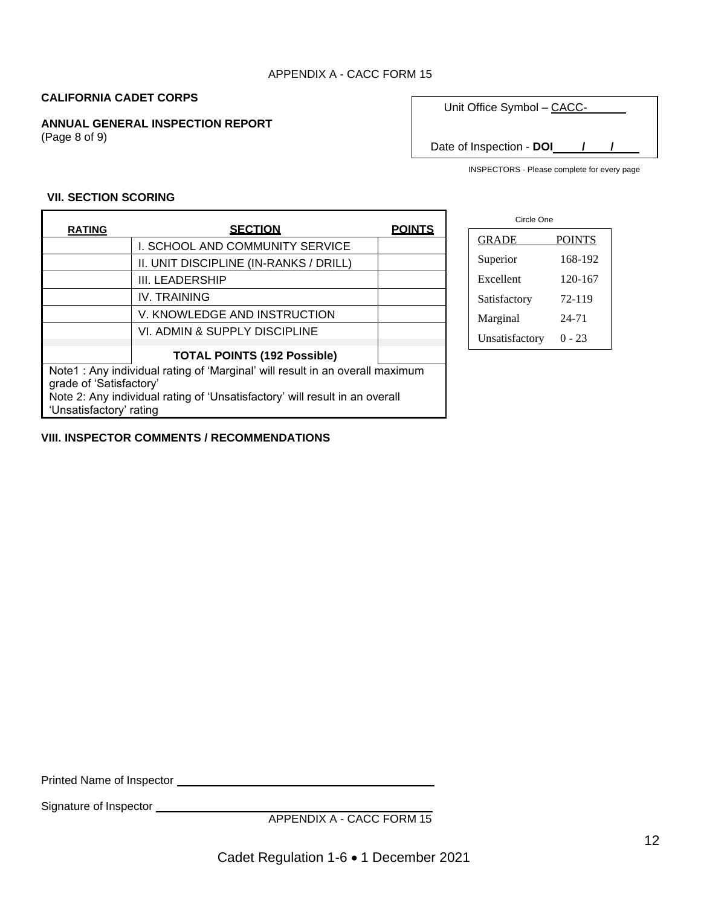#### APPENDIX A - CACC FORM 15

#### **CALIFORNIA CADET CORPS**

**ANNUAL GENERAL INSPECTION REPORT**

(Page 8 of 9)

 $\Gamma$ 

| Unit Office Symbol - CACC- |  |
|----------------------------|--|
|                            |  |

Date of Inspection - **DOI / /**

٦

INSPECTORS - Please complete for every page

#### **VII. SECTION SCORING**

| <b>RATING</b>                                                                                           | <b>SECTION</b>                                                                                         | <b>POINTS</b> |  |  |  |  |
|---------------------------------------------------------------------------------------------------------|--------------------------------------------------------------------------------------------------------|---------------|--|--|--|--|
|                                                                                                         | I. SCHOOL AND COMMUNITY SERVICE                                                                        |               |  |  |  |  |
|                                                                                                         | II. UNIT DISCIPLINE (IN-RANKS / DRILL)                                                                 |               |  |  |  |  |
|                                                                                                         | III. LEADERSHIP                                                                                        |               |  |  |  |  |
|                                                                                                         | <b>IV. TRAINING</b>                                                                                    |               |  |  |  |  |
|                                                                                                         | V. KNOWLEDGE AND INSTRUCTION                                                                           |               |  |  |  |  |
|                                                                                                         | VI. ADMIN & SUPPLY DISCIPLINE                                                                          |               |  |  |  |  |
|                                                                                                         | <b>TOTAL POINTS (192 Possible)</b>                                                                     |               |  |  |  |  |
| Note1: Any individual rating of 'Marginal' will result in an overall maximum<br>grade of 'Satisfactory' |                                                                                                        |               |  |  |  |  |
|                                                                                                         | Note 2: Any individual rating of 'Unsatisfactory' will result in an overall<br>'Unsatisfactory' rating |               |  |  |  |  |

| Circle One     |               |  |  |  |  |
|----------------|---------------|--|--|--|--|
| GRADE          | <b>POINTS</b> |  |  |  |  |
| Superior       | 168-192       |  |  |  |  |
| Excellent      | 120-167       |  |  |  |  |
| Satisfactory   | 72-119        |  |  |  |  |
| Marginal       | $24 - 71$     |  |  |  |  |
| Unsatisfactory | 0 - 23        |  |  |  |  |

#### **VIII. INSPECTOR COMMENTS / RECOMMENDATIONS**

Printed Name of Inspector

Signature of Inspector

APPENDIX A - CACC FORM 15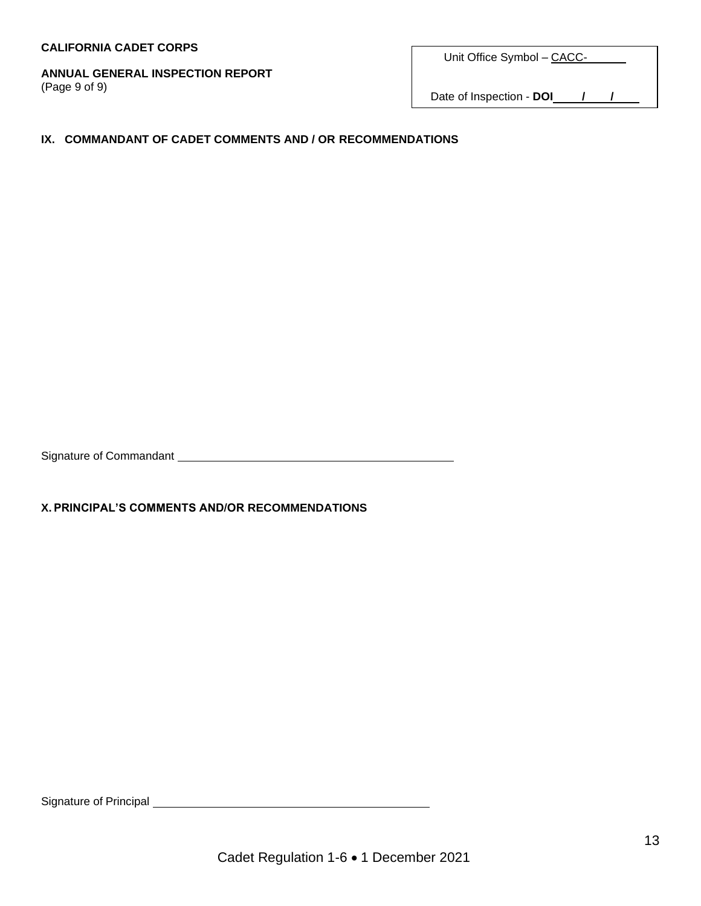#### **ANNUAL GENERAL INSPECTION REPORT** (Page 9 of 9)

| Unit Office Symbol - CACC- |  |
|----------------------------|--|
|                            |  |

Date of Inspection - **DOI / /**

#### **IX. COMMANDANT OF CADET COMMENTS AND / OR RECOMMENDATIONS**

Signature of Commandant **Commandant Commandant Commandant Commandant Commandant Communication** 

**X. PRINCIPAL'S COMMENTS AND/OR RECOMMENDATIONS**

Signature of Principal Manual Communication of Principal Manual Communication of Principal Manual Communication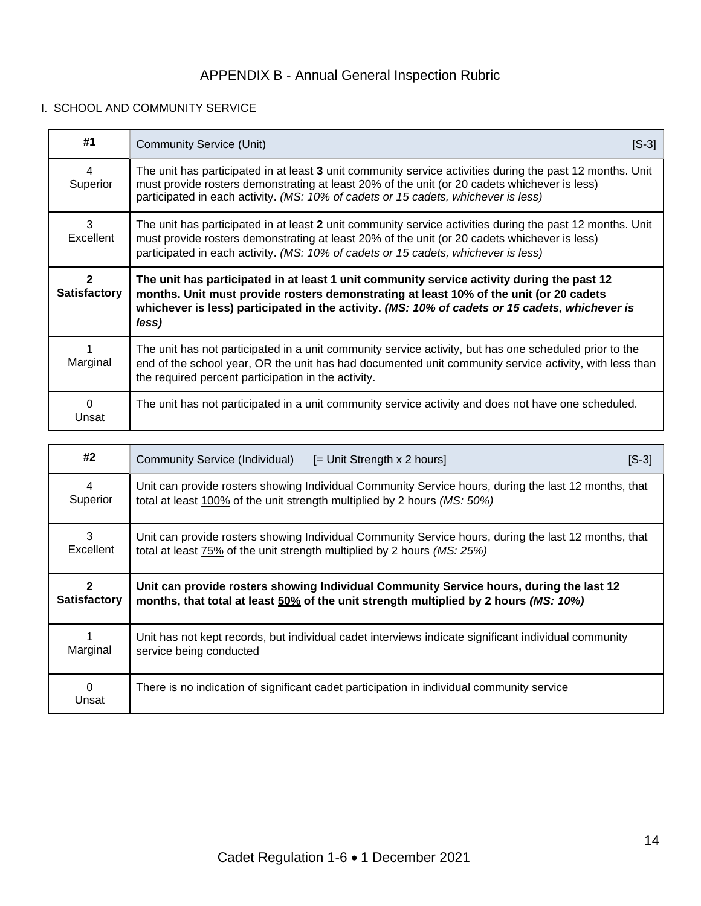# APPENDIX B - Annual General Inspection Rubric

#### I. SCHOOL AND COMMUNITY SERVICE

| #1                       | $[S-3]$<br><b>Community Service (Unit)</b>                                                                                                                                                                                                                                                      |
|--------------------------|-------------------------------------------------------------------------------------------------------------------------------------------------------------------------------------------------------------------------------------------------------------------------------------------------|
| 4<br>Superior            | The unit has participated in at least 3 unit community service activities during the past 12 months. Unit<br>must provide rosters demonstrating at least 20% of the unit (or 20 cadets whichever is less)<br>participated in each activity. (MS: 10% of cadets or 15 cadets, whichever is less) |
| 3<br>Excellent           | The unit has participated in at least 2 unit community service activities during the past 12 months. Unit<br>must provide rosters demonstrating at least 20% of the unit (or 20 cadets whichever is less)<br>participated in each activity. (MS: 10% of cadets or 15 cadets, whichever is less) |
| 2<br><b>Satisfactory</b> | The unit has participated in at least 1 unit community service activity during the past 12<br>months. Unit must provide rosters demonstrating at least 10% of the unit (or 20 cadets<br>whichever is less) participated in the activity. (MS: 10% of cadets or 15 cadets, whichever is<br>less) |
| Marginal                 | The unit has not participated in a unit community service activity, but has one scheduled prior to the<br>end of the school year, OR the unit has had documented unit community service activity, with less than<br>the required percent participation in the activity.                         |
| $\Omega$<br>Unsat        | The unit has not participated in a unit community service activity and does not have one scheduled.                                                                                                                                                                                             |

| #2                  | Community Service (Individual)<br>$[$ Unit Strength x 2 hours]<br>$[S-3]$                                                       |
|---------------------|---------------------------------------------------------------------------------------------------------------------------------|
| 4                   | Unit can provide rosters showing Individual Community Service hours, during the last 12 months, that                            |
| Superior            | total at least 100% of the unit strength multiplied by 2 hours (MS: 50%)                                                        |
| 3                   | Unit can provide rosters showing Individual Community Service hours, during the last 12 months, that                            |
| Excellent           | total at least 75% of the unit strength multiplied by 2 hours (MS: 25%)                                                         |
| $\mathbf{2}$        | Unit can provide rosters showing Individual Community Service hours, during the last 12                                         |
| <b>Satisfactory</b> | months, that total at least 50% of the unit strength multiplied by 2 hours (MS: 10%)                                            |
| Marginal            | Unit has not kept records, but individual cadet interviews indicate significant individual community<br>service being conducted |
| 0<br>Unsat          | There is no indication of significant cadet participation in individual community service                                       |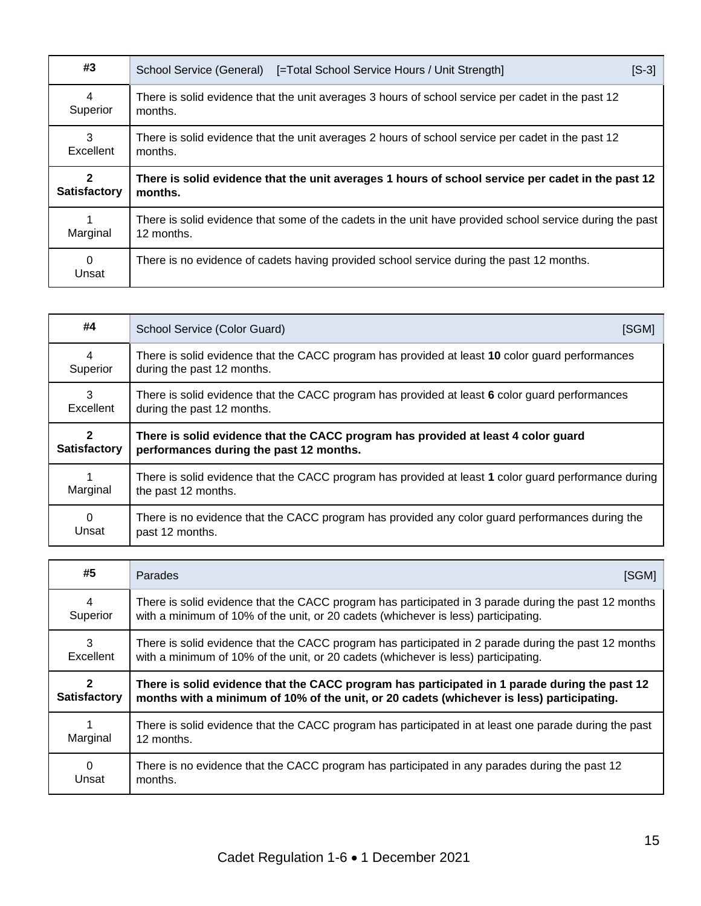| #3                       | School Service (General) [=Total School Service Hours / Unit Strength]                                                 | $[S-3]$ |
|--------------------------|------------------------------------------------------------------------------------------------------------------------|---------|
| 4<br>Superior            | There is solid evidence that the unit averages 3 hours of school service per cadet in the past 12<br>months.           |         |
| 3<br>Excellent           | There is solid evidence that the unit averages 2 hours of school service per cadet in the past 12<br>months.           |         |
| 2<br><b>Satisfactory</b> | There is solid evidence that the unit averages 1 hours of school service per cadet in the past 12<br>months.           |         |
| Marginal                 | There is solid evidence that some of the cadets in the unit have provided school service during the past<br>12 months. |         |
| $\Omega$<br>Unsat        | There is no evidence of cadets having provided school service during the past 12 months.                               |         |

| #4                  | School Service (Color Guard)<br>[SGM]                                                                                       |
|---------------------|-----------------------------------------------------------------------------------------------------------------------------|
| 4                   | There is solid evidence that the CACC program has provided at least 10 color guard performances                             |
| Superior            | during the past 12 months.                                                                                                  |
| 3                   | There is solid evidence that the CACC program has provided at least 6 color guard performances                              |
| Excellent           | during the past 12 months.                                                                                                  |
| $\overline{2}$      | There is solid evidence that the CACC program has provided at least 4 color guard                                           |
| <b>Satisfactory</b> | performances during the past 12 months.                                                                                     |
| Marginal            | There is solid evidence that the CACC program has provided at least 1 color guard performance during<br>the past 12 months. |
| $\Omega$            | There is no evidence that the CACC program has provided any color guard performances during the                             |
| Unsat               | past 12 months.                                                                                                             |

| #5                  | Parades<br>[SGM]                                                                                                    |
|---------------------|---------------------------------------------------------------------------------------------------------------------|
| 4                   | There is solid evidence that the CACC program has participated in 3 parade during the past 12 months                |
| Superior            | with a minimum of 10% of the unit, or 20 cadets (whichever is less) participating.                                  |
| 3                   | There is solid evidence that the CACC program has participated in 2 parade during the past 12 months                |
| Excellent           | with a minimum of 10% of the unit, or 20 cadets (whichever is less) participating.                                  |
| $\mathbf{2}$        | There is solid evidence that the CACC program has participated in 1 parade during the past 12                       |
| <b>Satisfactory</b> | months with a minimum of 10% of the unit, or 20 cadets (whichever is less) participating.                           |
| Marginal            | There is solid evidence that the CACC program has participated in at least one parade during the past<br>12 months. |
| $\Omega$            | There is no evidence that the CACC program has participated in any parades during the past 12                       |
| Unsat               | months.                                                                                                             |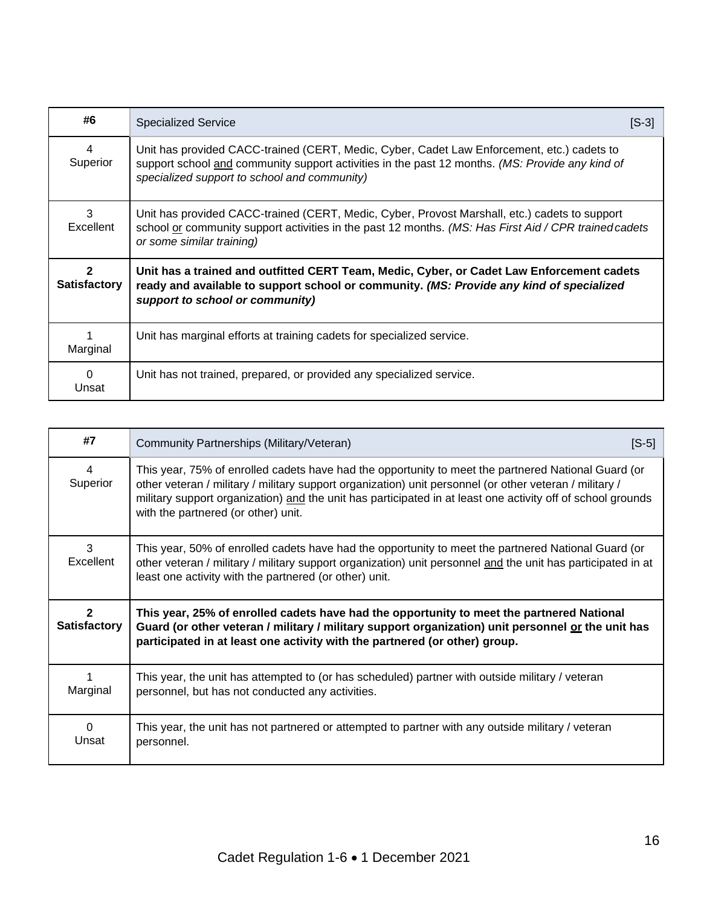| #6                       | <b>Specialized Service</b><br>$[S-3]$                                                                                                                                                                                                         |
|--------------------------|-----------------------------------------------------------------------------------------------------------------------------------------------------------------------------------------------------------------------------------------------|
| 4<br>Superior            | Unit has provided CACC-trained (CERT, Medic, Cyber, Cadet Law Enforcement, etc.) cadets to<br>support school and community support activities in the past 12 months. (MS: Provide any kind of<br>specialized support to school and community) |
| 3<br>Excellent           | Unit has provided CACC-trained (CERT, Medic, Cyber, Provost Marshall, etc.) cadets to support<br>school or community support activities in the past 12 months. (MS: Has First Aid / CPR trained cadets<br>or some similar training)           |
| 2<br><b>Satisfactory</b> | Unit has a trained and outfitted CERT Team, Medic, Cyber, or Cadet Law Enforcement cadets<br>ready and available to support school or community. (MS: Provide any kind of specialized<br>support to school or community)                      |
| Marginal                 | Unit has marginal efforts at training cadets for specialized service.                                                                                                                                                                         |
| $\Omega$<br>Unsat        | Unit has not trained, prepared, or provided any specialized service.                                                                                                                                                                          |

| #7                                    | Community Partnerships (Military/Veteran)<br>$[S-5]$                                                                                                                                                                                                                                                                                                                 |
|---------------------------------------|----------------------------------------------------------------------------------------------------------------------------------------------------------------------------------------------------------------------------------------------------------------------------------------------------------------------------------------------------------------------|
| $\overline{4}$<br>Superior            | This year, 75% of enrolled cadets have had the opportunity to meet the partnered National Guard (or<br>other veteran / military / military support organization) unit personnel (or other veteran / military /<br>military support organization) and the unit has participated in at least one activity off of school grounds<br>with the partnered (or other) unit. |
| 3<br>Excellent                        | This year, 50% of enrolled cadets have had the opportunity to meet the partnered National Guard (or<br>other veteran / military / military support organization) unit personnel and the unit has participated in at<br>least one activity with the partnered (or other) unit.                                                                                        |
| $\mathfrak{p}$<br><b>Satisfactory</b> | This year, 25% of enrolled cadets have had the opportunity to meet the partnered National<br>Guard (or other veteran / military / military support organization) unit personnel or the unit has<br>participated in at least one activity with the partnered (or other) group.                                                                                        |
| Marginal                              | This year, the unit has attempted to (or has scheduled) partner with outside military / veteran<br>personnel, but has not conducted any activities.                                                                                                                                                                                                                  |
| $\Omega$<br>Unsat                     | This year, the unit has not partnered or attempted to partner with any outside military / veteran<br>personnel.                                                                                                                                                                                                                                                      |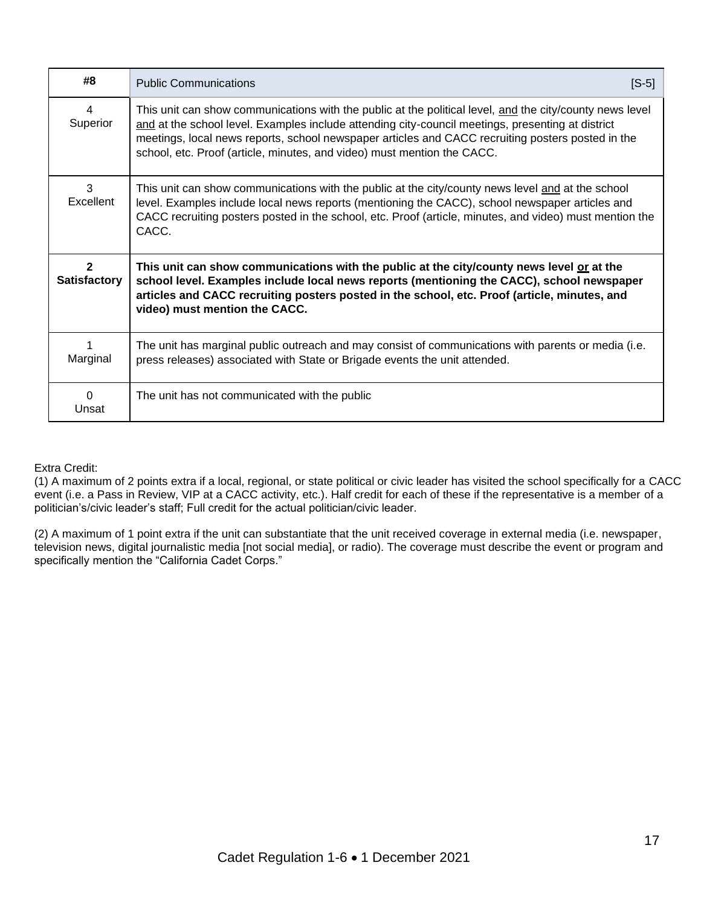| #8                       | <b>Public Communications</b><br>$[S-5]$                                                                                                                                                                                                                                                                                                                                                       |
|--------------------------|-----------------------------------------------------------------------------------------------------------------------------------------------------------------------------------------------------------------------------------------------------------------------------------------------------------------------------------------------------------------------------------------------|
| 4<br>Superior            | This unit can show communications with the public at the political level, and the city/county news level<br>and at the school level. Examples include attending city-council meetings, presenting at district<br>meetings, local news reports, school newspaper articles and CACC recruiting posters posted in the<br>school, etc. Proof (article, minutes, and video) must mention the CACC. |
| 3<br>Excellent           | This unit can show communications with the public at the city/county news level and at the school<br>level. Examples include local news reports (mentioning the CACC), school newspaper articles and<br>CACC recruiting posters posted in the school, etc. Proof (article, minutes, and video) must mention the<br>CACC.                                                                      |
| 2<br><b>Satisfactory</b> | This unit can show communications with the public at the city/county news level or at the<br>school level. Examples include local news reports (mentioning the CACC), school newspaper<br>articles and CACC recruiting posters posted in the school, etc. Proof (article, minutes, and<br>video) must mention the CACC.                                                                       |
| Marginal                 | The unit has marginal public outreach and may consist of communications with parents or media (i.e.<br>press releases) associated with State or Brigade events the unit attended.                                                                                                                                                                                                             |
| $\Omega$<br>Unsat        | The unit has not communicated with the public                                                                                                                                                                                                                                                                                                                                                 |

#### Extra Credit:

(1) A maximum of 2 points extra if a local, regional, or state political or civic leader has visited the school specifically for a CACC event (i.e. a Pass in Review, VIP at a CACC activity, etc.). Half credit for each of these if the representative is a member of a politician's/civic leader's staff; Full credit for the actual politician/civic leader.

(2) A maximum of 1 point extra if the unit can substantiate that the unit received coverage in external media (i.e. newspaper, television news, digital journalistic media [not social media], or radio). The coverage must describe the event or program and specifically mention the "California Cadet Corps."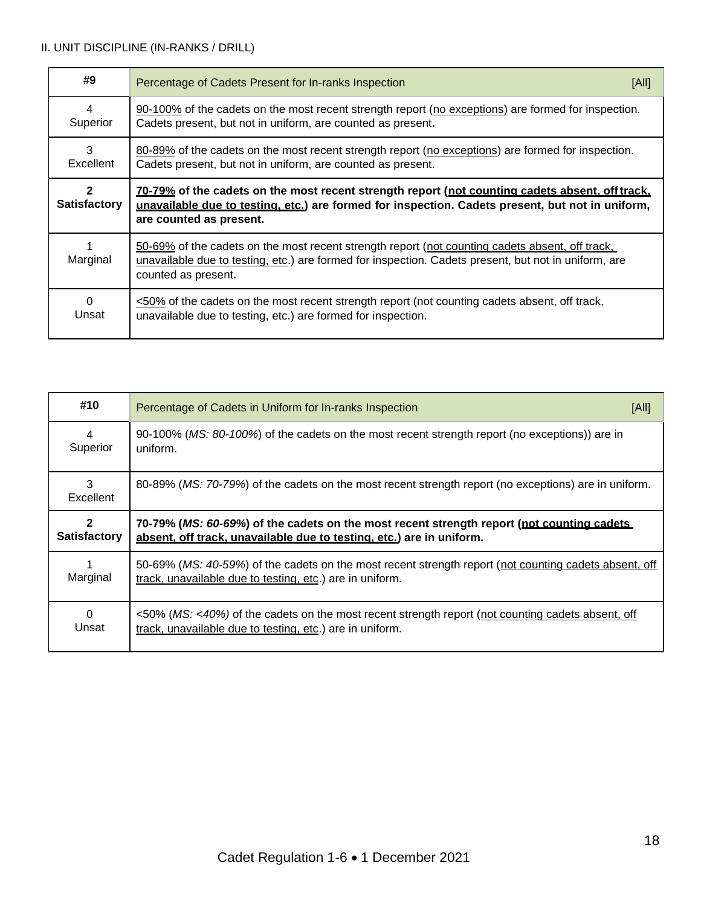# II. UNIT DISCIPLINE (IN-RANKS / DRILL)

| #9                                  | Percentage of Cadets Present for In-ranks Inspection<br>[All]                                                                                                                                                                  |
|-------------------------------------|--------------------------------------------------------------------------------------------------------------------------------------------------------------------------------------------------------------------------------|
| 4                                   | 90-100% of the cadets on the most recent strength report (no exceptions) are formed for inspection.                                                                                                                            |
| Superior                            | Cadets present, but not in uniform, are counted as present.                                                                                                                                                                    |
| 3                                   | 80-89% of the cadets on the most recent strength report (no exceptions) are formed for inspection.                                                                                                                             |
| Excellent                           | Cadets present, but not in uniform, are counted as present.                                                                                                                                                                    |
| $\mathbf{2}$<br><b>Satisfactory</b> | 70-79% of the cadets on the most recent strength report (not counting cadets absent, off track,<br>unavailable due to testing, etc.) are formed for inspection. Cadets present, but not in uniform,<br>are counted as present. |
| Marginal                            | 50-69% of the cadets on the most recent strength report (not counting cadets absent, off track,<br>unavailable due to testing, etc.) are formed for inspection. Cadets present, but not in uniform, are<br>counted as present. |
| $\Omega$                            | <50% of the cadets on the most recent strength report (not counting cadets absent, off track,                                                                                                                                  |
| Unsat                               | unavailable due to testing, etc.) are formed for inspection.                                                                                                                                                                   |

| #10                 | Percentage of Cadets in Uniform for In-ranks Inspection<br>[All]                                                                                                  |
|---------------------|-------------------------------------------------------------------------------------------------------------------------------------------------------------------|
| 4                   | 90-100% (MS: 80-100%) of the cadets on the most recent strength report (no exceptions)) are in                                                                    |
| Superior            | uniform.                                                                                                                                                          |
| 3<br>Excellent      | 80-89% (MS: 70-79%) of the cadets on the most recent strength report (no exceptions) are in uniform.                                                              |
| $\mathbf{2}$        | 70-79% (MS: 60-69%) of the cadets on the most recent strength report (not counting cadets                                                                         |
| <b>Satisfactory</b> | absent. off track. unavailable due to testing. etc.) are in uniform.                                                                                              |
| Marginal            | 50-69% (MS: 40-59%) of the cadets on the most recent strength report (not counting cadets absent, off<br>track, unavailable due to testing, etc.) are in uniform. |
| 0                   | <50% (MS: <40%) of the cadets on the most recent strength report (not counting cadets absent, off                                                                 |
| Unsat               | track, unavailable due to testing, etc.) are in uniform.                                                                                                          |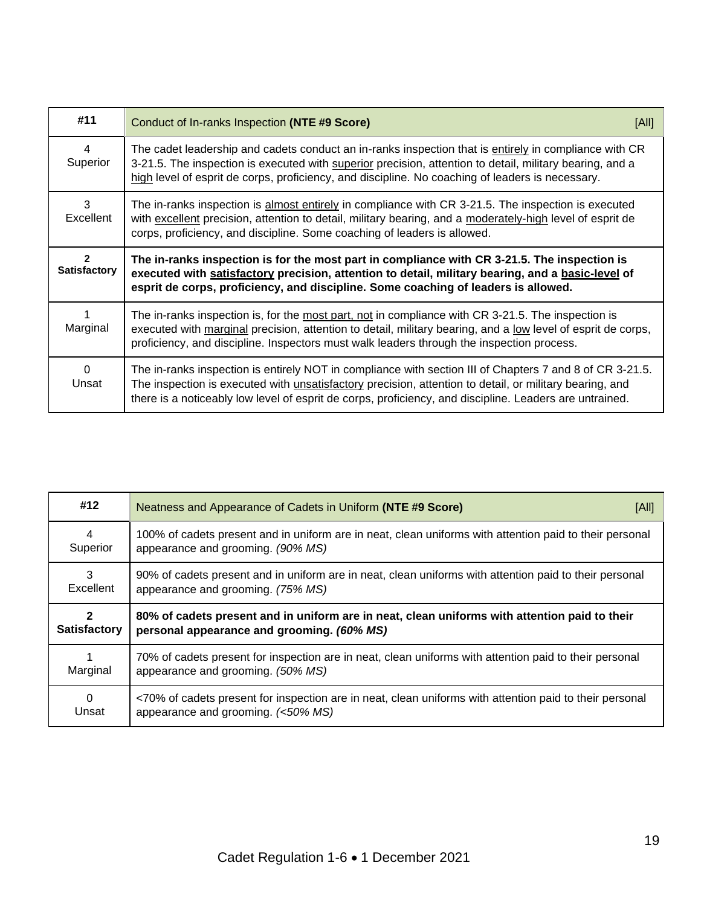| #11                                 | Conduct of In-ranks Inspection (NTE #9 Score)<br>[All]                                                                                                                                                                                                                                                                                |  |
|-------------------------------------|---------------------------------------------------------------------------------------------------------------------------------------------------------------------------------------------------------------------------------------------------------------------------------------------------------------------------------------|--|
| 4<br>Superior                       | The cadet leadership and cadets conduct an in-ranks inspection that is entirely in compliance with CR<br>3-21.5. The inspection is executed with superior precision, attention to detail, military bearing, and a<br>high level of esprit de corps, proficiency, and discipline. No coaching of leaders is necessary.                 |  |
| 3<br>Excellent                      | The in-ranks inspection is almost entirely in compliance with CR 3-21.5. The inspection is executed<br>with excellent precision, attention to detail, military bearing, and a moderately-high level of esprit de<br>corps, proficiency, and discipline. Some coaching of leaders is allowed.                                          |  |
| $\mathbf{c}$<br><b>Satisfactory</b> | The in-ranks inspection is for the most part in compliance with CR 3-21.5. The inspection is<br>executed with satisfactory precision, attention to detail, military bearing, and a basic-level of<br>esprit de corps, proficiency, and discipline. Some coaching of leaders is allowed.                                               |  |
| Marginal                            | The in-ranks inspection is, for the most part, not in compliance with CR 3-21.5. The inspection is<br>executed with marginal precision, attention to detail, military bearing, and a low level of esprit de corps,<br>proficiency, and discipline. Inspectors must walk leaders through the inspection process.                       |  |
| $\Omega$<br>Unsat                   | The in-ranks inspection is entirely NOT in compliance with section III of Chapters 7 and 8 of CR 3-21.5.<br>The inspection is executed with <b>unsatisfactory</b> precision, attention to detail, or military bearing, and<br>there is a noticeably low level of esprit de corps, proficiency, and discipline. Leaders are untrained. |  |

| #12                 | Neatness and Appearance of Cadets in Uniform (NTE #9 Score)<br>[All]                                                                        |
|---------------------|---------------------------------------------------------------------------------------------------------------------------------------------|
| 4                   | 100% of cadets present and in uniform are in neat, clean uniforms with attention paid to their personal                                     |
| Superior            | appearance and grooming. (90% MS)                                                                                                           |
| 3                   | 90% of cadets present and in uniform are in neat, clean uniforms with attention paid to their personal                                      |
| Excellent           | appearance and grooming. (75% MS)                                                                                                           |
| 2                   | 80% of cadets present and in uniform are in neat, clean uniforms with attention paid to their                                               |
| <b>Satisfactory</b> | personal appearance and grooming. (60% MS)                                                                                                  |
| Marginal            | 70% of cadets present for inspection are in neat, clean uniforms with attention paid to their personal<br>appearance and grooming. (50% MS) |
| $\Omega$            | <70% of cadets present for inspection are in neat, clean uniforms with attention paid to their personal                                     |
| Unsat               | appearance and grooming. (<50% MS)                                                                                                          |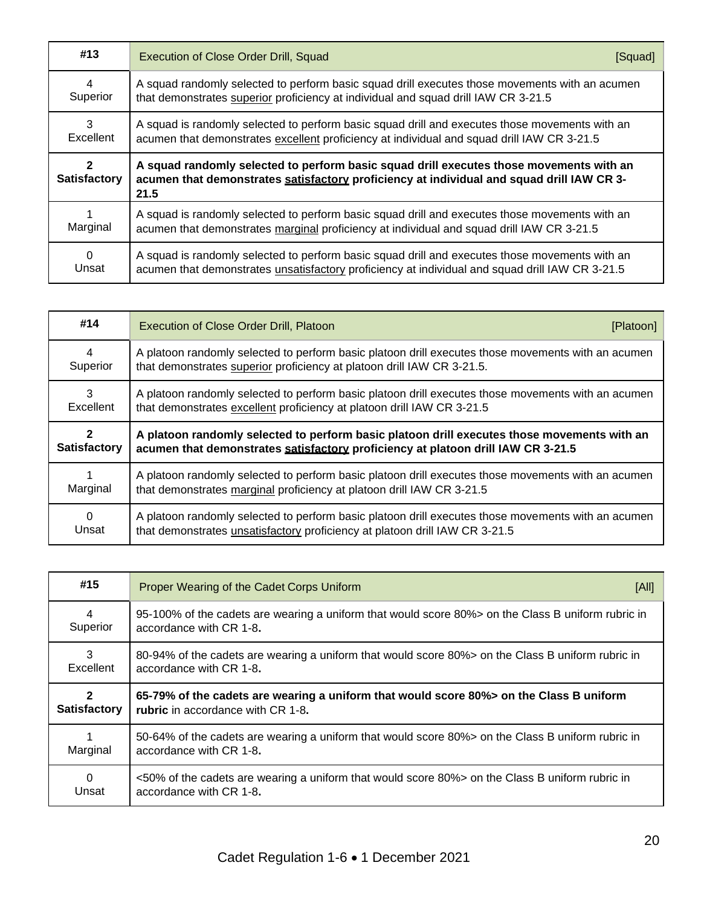| #13                                 | <b>Execution of Close Order Drill, Squad</b><br>[Squad]                                                                                                                                      |
|-------------------------------------|----------------------------------------------------------------------------------------------------------------------------------------------------------------------------------------------|
| 4                                   | A squad randomly selected to perform basic squad drill executes those movements with an acumen                                                                                               |
| Superior                            | that demonstrates superior proficiency at individual and squad drill IAW CR 3-21.5                                                                                                           |
| 3                                   | A squad is randomly selected to perform basic squad drill and executes those movements with an                                                                                               |
| Excellent                           | acumen that demonstrates excellent proficiency at individual and squad drill IAW CR 3-21.5                                                                                                   |
| $\mathbf{2}$<br><b>Satisfactory</b> | A squad randomly selected to perform basic squad drill executes those movements with an<br>acumen that demonstrates satisfactory proficiency at individual and squad drill IAW CR 3-<br>21.5 |
| Marginal                            | A squad is randomly selected to perform basic squad drill and executes those movements with an<br>acumen that demonstrates marginal proficiency at individual and squad drill IAW CR 3-21.5  |
| $\Omega$                            | A squad is randomly selected to perform basic squad drill and executes those movements with an                                                                                               |
| Unsat                               | acumen that demonstrates unsatisfactory proficiency at individual and squad drill IAW CR 3-21.5                                                                                              |

| #14                 | Execution of Close Order Drill, Platoon<br>[Platoon]                                                                                                                        |
|---------------------|-----------------------------------------------------------------------------------------------------------------------------------------------------------------------------|
| 4                   | A platoon randomly selected to perform basic platoon drill executes those movements with an acumen                                                                          |
| Superior            | that demonstrates superior proficiency at platoon drill IAW CR 3-21.5.                                                                                                      |
| 3                   | A platoon randomly selected to perform basic platoon drill executes those movements with an acumen                                                                          |
| Excellent           | that demonstrates excellent proficiency at platoon drill IAW CR 3-21.5                                                                                                      |
| $\mathbf{2}$        | A platoon randomly selected to perform basic platoon drill executes those movements with an                                                                                 |
| <b>Satisfactory</b> | acumen that demonstrates satisfactory proficiency at platoon drill IAW CR 3-21.5                                                                                            |
| Marginal            | A platoon randomly selected to perform basic platoon drill executes those movements with an acumen<br>that demonstrates marginal proficiency at platoon drill IAW CR 3-21.5 |
| 0                   | A platoon randomly selected to perform basic platoon drill executes those movements with an acumen                                                                          |
| Unsat               | that demonstrates unsatisfactory proficiency at platoon drill IAW CR 3-21.5                                                                                                 |

| #15                 | Proper Wearing of the Cadet Corps Uniform<br>[All]                                                                            |
|---------------------|-------------------------------------------------------------------------------------------------------------------------------|
| 4                   | 95-100% of the cadets are wearing a uniform that would score 80%> on the Class B uniform rubric in                            |
| Superior            | accordance with CR 1-8.                                                                                                       |
| 3                   | 80-94% of the cadets are wearing a uniform that would score 80% > on the Class B uniform rubric in                            |
| Excellent           | accordance with CR 1-8.                                                                                                       |
| 2                   | 65-79% of the cadets are wearing a uniform that would score 80%> on the Class B uniform                                       |
| <b>Satisfactory</b> | rubric in accordance with CR 1-8.                                                                                             |
| Marginal            | 50-64% of the cadets are wearing a uniform that would score 80% > on the Class B uniform rubric in<br>accordance with CR 1-8. |
| 0                   | <50% of the cadets are wearing a uniform that would score 80%> on the Class B uniform rubric in                               |
| Unsat               | accordance with CR 1-8.                                                                                                       |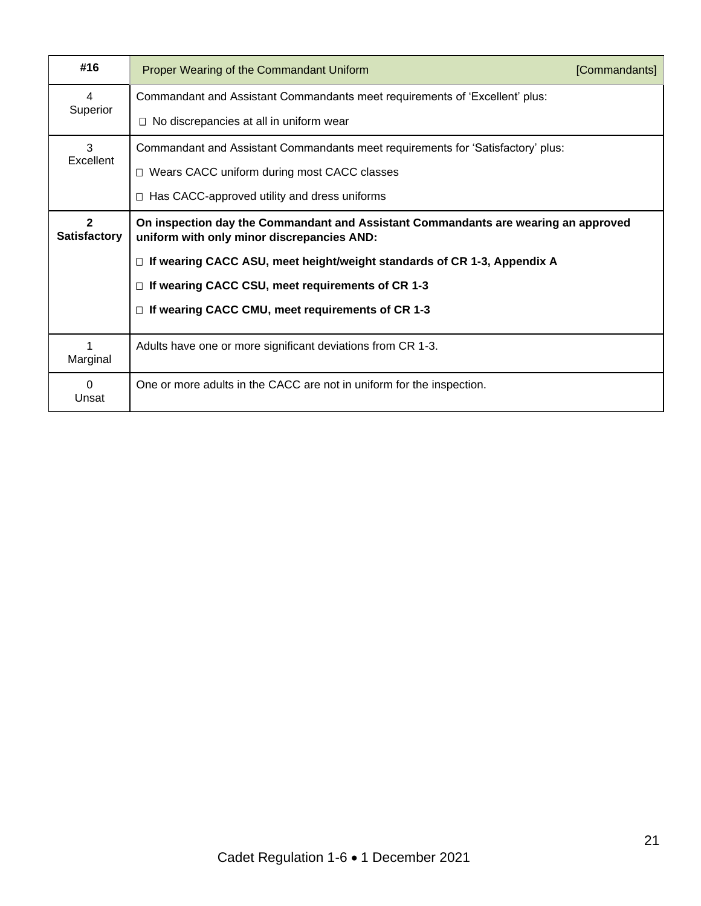| #16                                 | Proper Wearing of the Commandant Uniform                                                                                         | [Commandants] |
|-------------------------------------|----------------------------------------------------------------------------------------------------------------------------------|---------------|
| 4                                   | Commandant and Assistant Commandants meet requirements of 'Excellent' plus:                                                      |               |
| Superior                            | $\Box$ No discrepancies at all in uniform wear                                                                                   |               |
| 3<br>Excellent                      | Commandant and Assistant Commandants meet requirements for 'Satisfactory' plus:                                                  |               |
|                                     | □ Wears CACC uniform during most CACC classes                                                                                    |               |
|                                     | $\Box$ Has CACC-approved utility and dress uniforms                                                                              |               |
| $\mathbf{z}$<br><b>Satisfactory</b> | On inspection day the Commandant and Assistant Commandants are wearing an approved<br>uniform with only minor discrepancies AND: |               |
|                                     | □ If wearing CACC ASU, meet height/weight standards of CR 1-3, Appendix A                                                        |               |
|                                     | $\Box$ If wearing CACC CSU, meet requirements of CR 1-3                                                                          |               |
|                                     | $\Box$ If wearing CACC CMU, meet requirements of CR 1-3                                                                          |               |
| 1<br>Marginal                       | Adults have one or more significant deviations from CR 1-3.                                                                      |               |
| $\Omega$<br>Unsat                   | One or more adults in the CACC are not in uniform for the inspection.                                                            |               |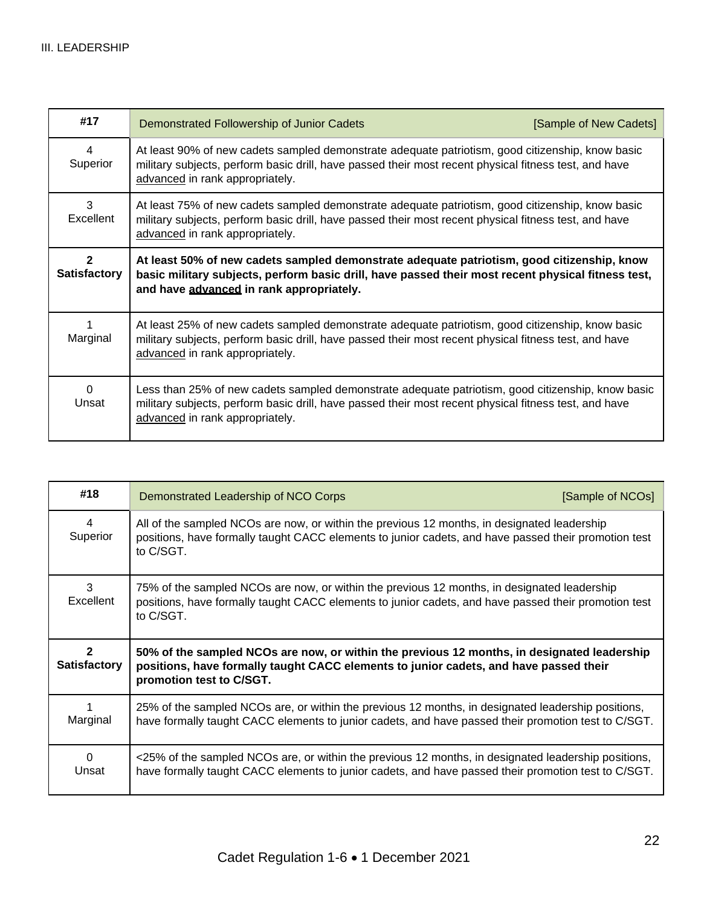| #17                                 | Demonstrated Followership of Junior Cadets<br>[Sample of New Cadets]                                                                                                                                                                          |
|-------------------------------------|-----------------------------------------------------------------------------------------------------------------------------------------------------------------------------------------------------------------------------------------------|
| 4<br>Superior                       | At least 90% of new cadets sampled demonstrate adequate patriotism, good citizenship, know basic<br>military subjects, perform basic drill, have passed their most recent physical fitness test, and have<br>advanced in rank appropriately.  |
| 3<br>Excellent                      | At least 75% of new cadets sampled demonstrate adequate patriotism, good citizenship, know basic<br>military subjects, perform basic drill, have passed their most recent physical fitness test, and have<br>advanced in rank appropriately.  |
| $\mathbf{2}$<br><b>Satisfactory</b> | At least 50% of new cadets sampled demonstrate adequate patriotism, good citizenship, know<br>basic military subjects, perform basic drill, have passed their most recent physical fitness test,<br>and have advanced in rank appropriately.  |
| Marginal                            | At least 25% of new cadets sampled demonstrate adequate patriotism, good citizenship, know basic<br>military subjects, perform basic drill, have passed their most recent physical fitness test, and have<br>advanced in rank appropriately.  |
| $\Omega$<br>Unsat                   | Less than 25% of new cadets sampled demonstrate adequate patriotism, good citizenship, know basic<br>military subjects, perform basic drill, have passed their most recent physical fitness test, and have<br>advanced in rank appropriately. |

| #18                                 | Demonstrated Leadership of NCO Corps<br>[Sample of NCOs]                                                                                                                                                         |
|-------------------------------------|------------------------------------------------------------------------------------------------------------------------------------------------------------------------------------------------------------------|
| 4<br>Superior                       | All of the sampled NCOs are now, or within the previous 12 months, in designated leadership<br>positions, have formally taught CACC elements to junior cadets, and have passed their promotion test<br>to C/SGT. |
| 3<br>Excellent                      | 75% of the sampled NCOs are now, or within the previous 12 months, in designated leadership<br>positions, have formally taught CACC elements to junior cadets, and have passed their promotion test<br>to C/SGT. |
|                                     |                                                                                                                                                                                                                  |
| $\mathbf{c}$<br><b>Satisfactory</b> | 50% of the sampled NCOs are now, or within the previous 12 months, in designated leadership<br>positions, have formally taught CACC elements to junior cadets, and have passed their<br>promotion test to C/SGT. |
| Marginal                            | 25% of the sampled NCOs are, or within the previous 12 months, in designated leadership positions,<br>have formally taught CACC elements to junior cadets, and have passed their promotion test to C/SGT.        |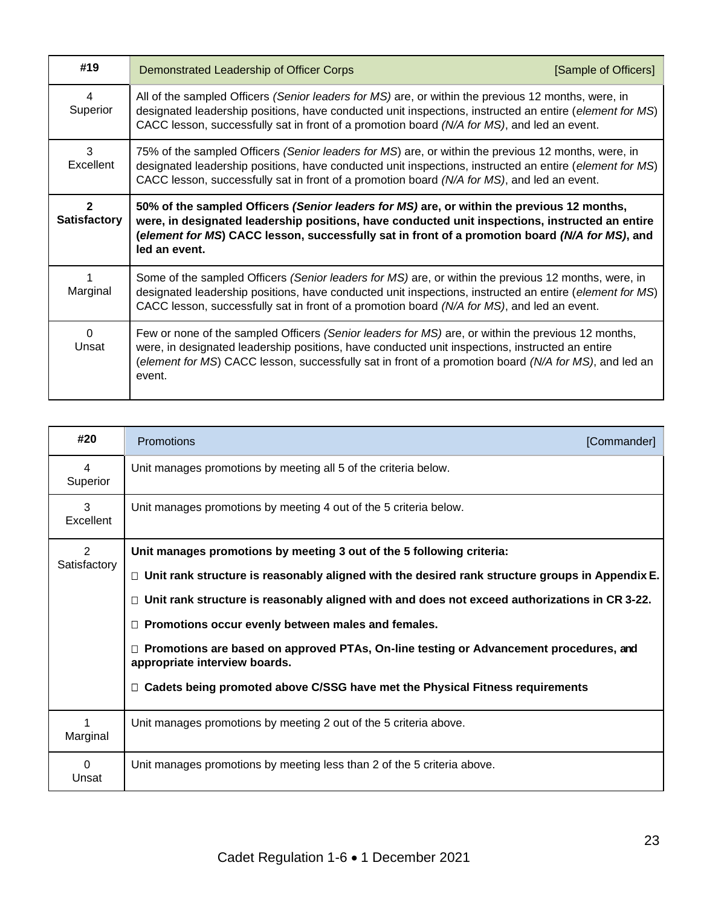| #19                                   | Demonstrated Leadership of Officer Corps<br>[Sample of Officers]                                                                                                                                                                                                                                                         |
|---------------------------------------|--------------------------------------------------------------------------------------------------------------------------------------------------------------------------------------------------------------------------------------------------------------------------------------------------------------------------|
| 4<br>Superior                         | All of the sampled Officers (Senior leaders for MS) are, or within the previous 12 months, were, in<br>designated leadership positions, have conducted unit inspections, instructed an entire (element for MS)<br>CACC lesson, successfully sat in front of a promotion board (N/A for MS), and led an event.            |
| 3<br>Excellent                        | 75% of the sampled Officers (Senior leaders for MS) are, or within the previous 12 months, were, in<br>designated leadership positions, have conducted unit inspections, instructed an entire (element for MS)<br>CACC lesson, successfully sat in front of a promotion board (N/A for MS), and led an event.            |
| $\overline{2}$<br><b>Satisfactory</b> | 50% of the sampled Officers (Senior leaders for MS) are, or within the previous 12 months,<br>were, in designated leadership positions, have conducted unit inspections, instructed an entire<br>(element for MS) CACC lesson, successfully sat in front of a promotion board (N/A for MS), and<br>led an event.         |
| Marginal                              | Some of the sampled Officers (Senior leaders for MS) are, or within the previous 12 months, were, in<br>designated leadership positions, have conducted unit inspections, instructed an entire (element for MS)<br>CACC lesson, successfully sat in front of a promotion board (N/A for MS), and led an event.           |
| $\Omega$<br>Unsat                     | Few or none of the sampled Officers (Senior leaders for MS) are, or within the previous 12 months,<br>were, in designated leadership positions, have conducted unit inspections, instructed an entire<br>(element for MS) CACC lesson, successfully sat in front of a promotion board (N/A for MS), and led an<br>event. |

| #20               | Promotions<br>[Commander]                                                                                                |
|-------------------|--------------------------------------------------------------------------------------------------------------------------|
| 4<br>Superior     | Unit manages promotions by meeting all 5 of the criteria below.                                                          |
| 3<br>Excellent    | Unit manages promotions by meeting 4 out of the 5 criteria below.                                                        |
| 2                 | Unit manages promotions by meeting 3 out of the 5 following criteria:                                                    |
| Satisfactory      | $\Box$ Unit rank structure is reasonably aligned with the desired rank structure groups in Appendix E.                   |
|                   | $\Box$ Unit rank structure is reasonably aligned with and does not exceed authorizations in CR 3-22.                     |
|                   | $\Box$ Promotions occur evenly between males and females.                                                                |
|                   | □ Promotions are based on approved PTAs, On-line testing or Advancement procedures, and<br>appropriate interview boards. |
|                   | $\Box$ Cadets being promoted above C/SSG have met the Physical Fitness requirements                                      |
| Marginal          | Unit manages promotions by meeting 2 out of the 5 criteria above.                                                        |
| $\Omega$<br>Unsat | Unit manages promotions by meeting less than 2 of the 5 criteria above.                                                  |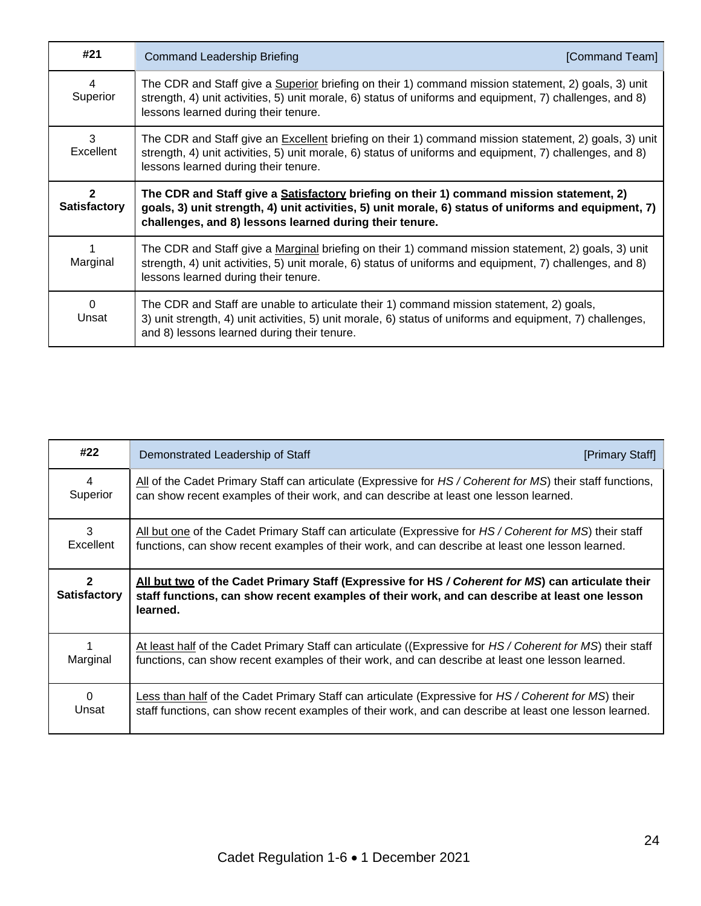| #21                 | <b>Command Leadership Briefing</b><br>[Command Team]                                                                                                                                                                                                        |
|---------------------|-------------------------------------------------------------------------------------------------------------------------------------------------------------------------------------------------------------------------------------------------------------|
| 4<br>Superior       | The CDR and Staff give a Superior briefing on their 1) command mission statement, 2) goals, 3) unit<br>strength, 4) unit activities, 5) unit morale, 6) status of uniforms and equipment, 7) challenges, and 8)<br>lessons learned during their tenure.     |
| 3<br>Excellent      | The CDR and Staff give an Excellent briefing on their 1) command mission statement, 2) goals, 3) unit<br>strength, 4) unit activities, 5) unit morale, 6) status of uniforms and equipment, 7) challenges, and 8)<br>lessons learned during their tenure.   |
| <b>Satisfactory</b> | The CDR and Staff give a Satisfactory briefing on their 1) command mission statement, 2)<br>goals, 3) unit strength, 4) unit activities, 5) unit morale, 6) status of uniforms and equipment, 7)<br>challenges, and 8) lessons learned during their tenure. |
| Marginal            | The CDR and Staff give a Marginal briefing on their 1) command mission statement, 2) goals, 3) unit<br>strength, 4) unit activities, 5) unit morale, 6) status of uniforms and equipment, 7) challenges, and 8)<br>lessons learned during their tenure.     |
| 0<br>Unsat          | The CDR and Staff are unable to articulate their 1) command mission statement, 2) goals,<br>3) unit strength, 4) unit activities, 5) unit morale, 6) status of uniforms and equipment, 7) challenges,<br>and 8) lessons learned during their tenure.        |

| #22                                 | Demonstrated Leadership of Staff<br>[Primary Staff]                                                                                                                                                            |
|-------------------------------------|----------------------------------------------------------------------------------------------------------------------------------------------------------------------------------------------------------------|
| 4                                   | All of the Cadet Primary Staff can articulate (Expressive for HS / Coherent for MS) their staff functions,                                                                                                     |
| Superior                            | can show recent examples of their work, and can describe at least one lesson learned.                                                                                                                          |
| 3                                   | All but one of the Cadet Primary Staff can articulate (Expressive for HS / Coherent for MS) their staff                                                                                                        |
| Excellent                           | functions, can show recent examples of their work, and can describe at least one lesson learned.                                                                                                               |
| $\mathbf{2}$<br><b>Satisfactory</b> | All but two of the Cadet Primary Staff (Expressive for HS / Coherent for MS) can articulate their<br>staff functions, can show recent examples of their work, and can describe at least one lesson<br>learned. |
| Marginal                            | At least half of the Cadet Primary Staff can articulate ((Expressive for HS / Coherent for MS) their staff<br>functions, can show recent examples of their work, and can describe at least one lesson learned. |
| $\Omega$                            | Less than half of the Cadet Primary Staff can articulate (Expressive for HS / Coherent for MS) their                                                                                                           |
| Unsat                               | staff functions, can show recent examples of their work, and can describe at least one lesson learned.                                                                                                         |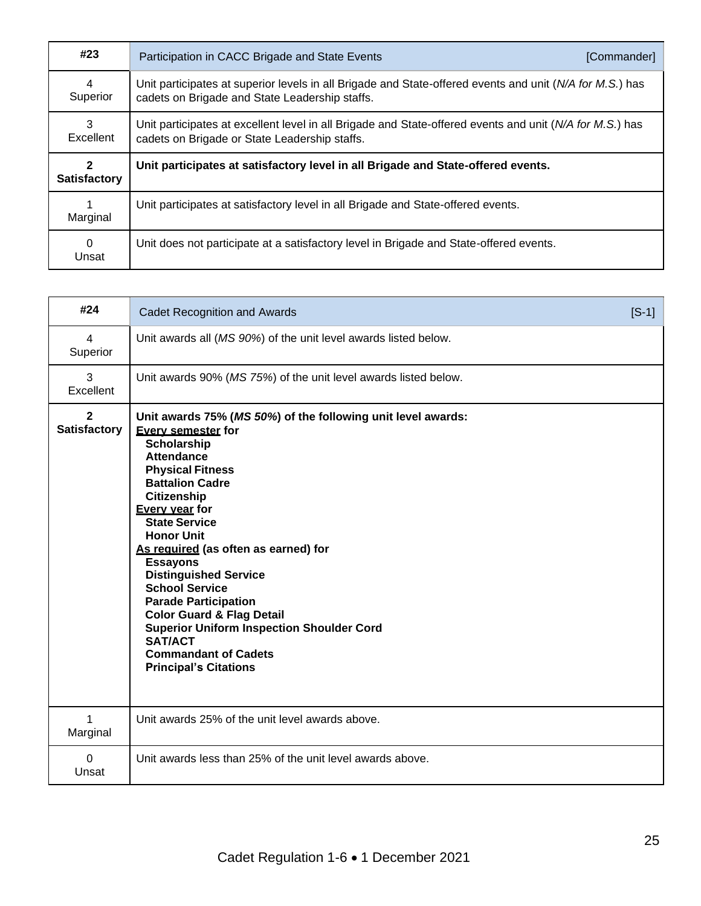| #23                      | Participation in CACC Brigade and State Events<br>[Commander]                                                                                              |
|--------------------------|------------------------------------------------------------------------------------------------------------------------------------------------------------|
| 4<br>Superior            | Unit participates at superior levels in all Brigade and State-offered events and unit (N/A for M.S.) has<br>cadets on Brigade and State Leadership staffs. |
| 3<br>Excellent           | Unit participates at excellent level in all Brigade and State-offered events and unit (N/A for M.S.) has<br>cadets on Brigade or State Leadership staffs.  |
| 2<br><b>Satisfactory</b> | Unit participates at satisfactory level in all Brigade and State-offered events.                                                                           |
| Marginal                 | Unit participates at satisfactory level in all Brigade and State-offered events.                                                                           |
| 0                        | Unit does not participate at a satisfactory level in Brigade and State-offered events.                                                                     |

| #24                        | <b>Cadet Recognition and Awards</b>                                                                                                                                                                                                                                                                                                                                                                                                                                                                                                                                                                     | $[S-1]$ |
|----------------------------|---------------------------------------------------------------------------------------------------------------------------------------------------------------------------------------------------------------------------------------------------------------------------------------------------------------------------------------------------------------------------------------------------------------------------------------------------------------------------------------------------------------------------------------------------------------------------------------------------------|---------|
| $\overline{4}$<br>Superior | Unit awards all (MS 90%) of the unit level awards listed below.                                                                                                                                                                                                                                                                                                                                                                                                                                                                                                                                         |         |
| 3<br>Excellent             | Unit awards 90% (MS 75%) of the unit level awards listed below.                                                                                                                                                                                                                                                                                                                                                                                                                                                                                                                                         |         |
| 2<br><b>Satisfactory</b>   | Unit awards 75% (MS 50%) of the following unit level awards:<br><b>Every semester for</b><br>Scholarship<br>Attendance<br><b>Physical Fitness</b><br><b>Battalion Cadre</b><br><b>Citizenship</b><br><b>Every year for</b><br><b>State Service</b><br><b>Honor Unit</b><br>As required (as often as earned) for<br><b>Essayons</b><br><b>Distinguished Service</b><br><b>School Service</b><br><b>Parade Participation</b><br><b>Color Guard &amp; Flag Detail</b><br><b>Superior Uniform Inspection Shoulder Cord</b><br><b>SAT/ACT</b><br><b>Commandant of Cadets</b><br><b>Principal's Citations</b> |         |
| $\mathbf{1}$<br>Marginal   | Unit awards 25% of the unit level awards above.                                                                                                                                                                                                                                                                                                                                                                                                                                                                                                                                                         |         |
| $\mathbf 0$<br>Unsat       | Unit awards less than 25% of the unit level awards above.                                                                                                                                                                                                                                                                                                                                                                                                                                                                                                                                               |         |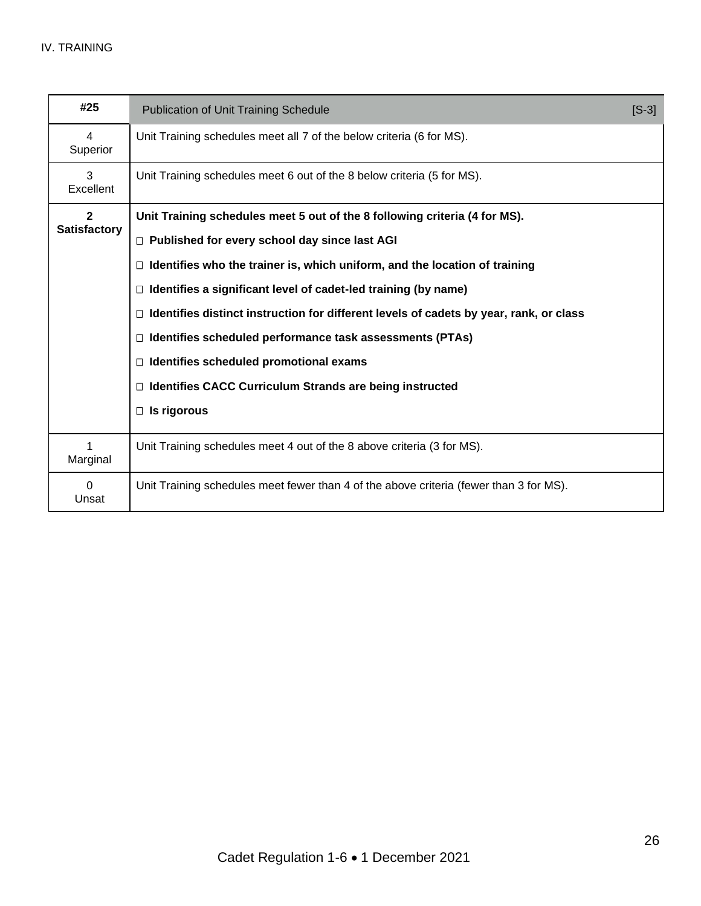#### IV. TRAINING

| #25                        | <b>Publication of Unit Training Schedule</b>                                                 | $[S-3]$ |
|----------------------------|----------------------------------------------------------------------------------------------|---------|
| $\overline{4}$<br>Superior | Unit Training schedules meet all 7 of the below criteria (6 for MS).                         |         |
| 3<br>Excellent             | Unit Training schedules meet 6 out of the 8 below criteria (5 for MS).                       |         |
| 2<br>Satisfactory          | Unit Training schedules meet 5 out of the 8 following criteria (4 for MS).                   |         |
|                            | □ Published for every school day since last AGI                                              |         |
|                            | Identifies who the trainer is, which uniform, and the location of training<br>$\Box$         |         |
|                            | $\Box$ Identifies a significant level of cadet-led training (by name)                        |         |
|                            | Identifies distinct instruction for different levels of cadets by year, rank, or class<br>П. |         |
|                            | Identifies scheduled performance task assessments (PTAs)<br>П.                               |         |
|                            | □ Identifies scheduled promotional exams                                                     |         |
|                            | <b>Identifies CACC Curriculum Strands are being instructed</b><br>$\Box$                     |         |
|                            | $\Box$ Is rigorous                                                                           |         |
| 1<br>Marginal              | Unit Training schedules meet 4 out of the 8 above criteria (3 for MS).                       |         |
| $\Omega$<br>Unsat          | Unit Training schedules meet fewer than 4 of the above criteria (fewer than 3 for MS).       |         |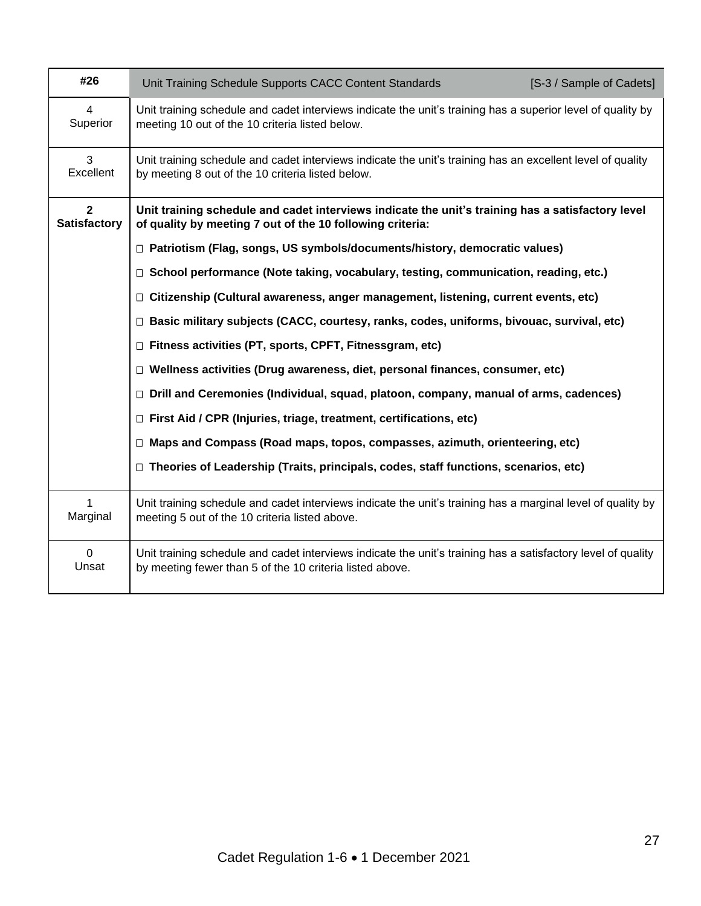| #26                                 | Unit Training Schedule Supports CACC Content Standards<br>[S-3 / Sample of Cadets]                                                                                       |  |
|-------------------------------------|--------------------------------------------------------------------------------------------------------------------------------------------------------------------------|--|
| $\overline{4}$<br>Superior          | Unit training schedule and cadet interviews indicate the unit's training has a superior level of quality by<br>meeting 10 out of the 10 criteria listed below.           |  |
| 3<br>Excellent                      | Unit training schedule and cadet interviews indicate the unit's training has an excellent level of quality<br>by meeting 8 out of the 10 criteria listed below.          |  |
| $\mathbf{2}$<br><b>Satisfactory</b> | Unit training schedule and cadet interviews indicate the unit's training has a satisfactory level<br>of quality by meeting 7 out of the 10 following criteria:           |  |
|                                     | □ Patriotism (Flag, songs, US symbols/documents/history, democratic values)                                                                                              |  |
|                                     | □ School performance (Note taking, vocabulary, testing, communication, reading, etc.)                                                                                    |  |
|                                     | □ Citizenship (Cultural awareness, anger management, listening, current events, etc)                                                                                     |  |
|                                     | $\Box$ Basic military subjects (CACC, courtesy, ranks, codes, uniforms, bivouac, survival, etc)                                                                          |  |
|                                     | $\Box$ Fitness activities (PT, sports, CPFT, Fitnessgram, etc)                                                                                                           |  |
|                                     | □ Wellness activities (Drug awareness, diet, personal finances, consumer, etc)                                                                                           |  |
|                                     | □ Drill and Ceremonies (Individual, squad, platoon, company, manual of arms, cadences)                                                                                   |  |
|                                     | □ First Aid / CPR (Injuries, triage, treatment, certifications, etc)                                                                                                     |  |
|                                     | □ Maps and Compass (Road maps, topos, compasses, azimuth, orienteering, etc)                                                                                             |  |
|                                     | □ Theories of Leadership (Traits, principals, codes, staff functions, scenarios, etc)                                                                                    |  |
| 1<br>Marginal                       | Unit training schedule and cadet interviews indicate the unit's training has a marginal level of quality by<br>meeting 5 out of the 10 criteria listed above.            |  |
| $\Omega$<br>Unsat                   | Unit training schedule and cadet interviews indicate the unit's training has a satisfactory level of quality<br>by meeting fewer than 5 of the 10 criteria listed above. |  |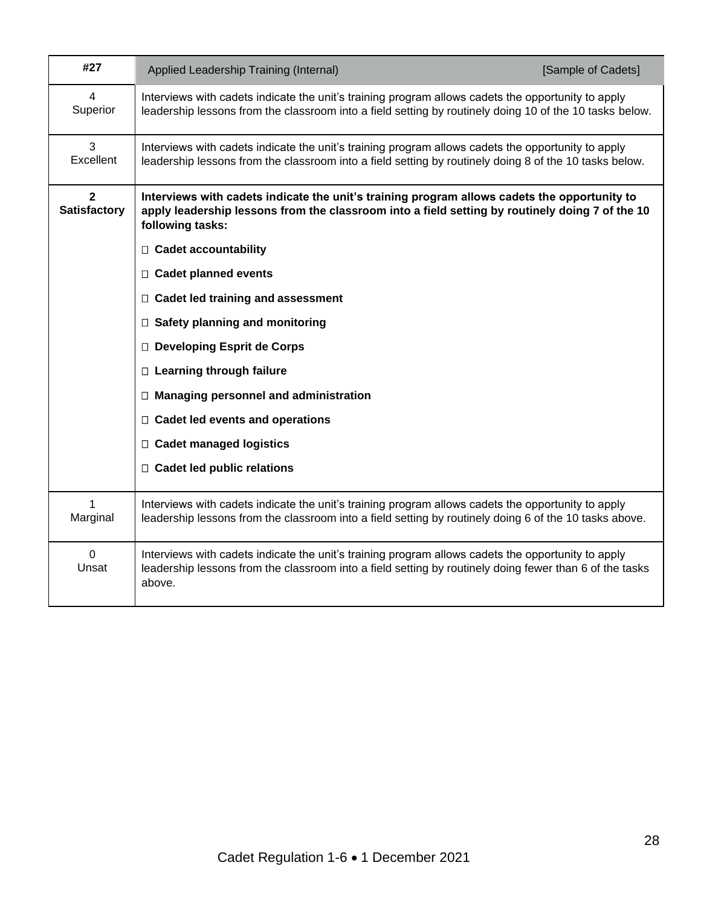| #27                                   | Applied Leadership Training (Internal)                                                                                                                                                                                                                                                                                                                                                                                                                                                                                                                                | [Sample of Cadets] |
|---------------------------------------|-----------------------------------------------------------------------------------------------------------------------------------------------------------------------------------------------------------------------------------------------------------------------------------------------------------------------------------------------------------------------------------------------------------------------------------------------------------------------------------------------------------------------------------------------------------------------|--------------------|
| $\overline{4}$<br>Superior            | Interviews with cadets indicate the unit's training program allows cadets the opportunity to apply<br>leadership lessons from the classroom into a field setting by routinely doing 10 of the 10 tasks below.                                                                                                                                                                                                                                                                                                                                                         |                    |
| 3<br>Excellent                        | Interviews with cadets indicate the unit's training program allows cadets the opportunity to apply<br>leadership lessons from the classroom into a field setting by routinely doing 8 of the 10 tasks below.                                                                                                                                                                                                                                                                                                                                                          |                    |
| $\overline{2}$<br><b>Satisfactory</b> | Interviews with cadets indicate the unit's training program allows cadets the opportunity to<br>apply leadership lessons from the classroom into a field setting by routinely doing 7 of the 10<br>following tasks:<br>□ Cadet accountability<br>□ Cadet planned events<br>□ Cadet led training and assessment<br>□ Safety planning and monitoring<br>Developing Esprit de Corps<br>□ Learning through failure<br>□ Managing personnel and administration<br>$\Box$ Cadet led events and operations<br>□ Cadet managed logistics<br>$\Box$ Cadet led public relations |                    |
| 1<br>Marginal                         | Interviews with cadets indicate the unit's training program allows cadets the opportunity to apply<br>leadership lessons from the classroom into a field setting by routinely doing 6 of the 10 tasks above.                                                                                                                                                                                                                                                                                                                                                          |                    |
| $\mathbf 0$<br>Unsat                  | Interviews with cadets indicate the unit's training program allows cadets the opportunity to apply<br>leadership lessons from the classroom into a field setting by routinely doing fewer than 6 of the tasks<br>above.                                                                                                                                                                                                                                                                                                                                               |                    |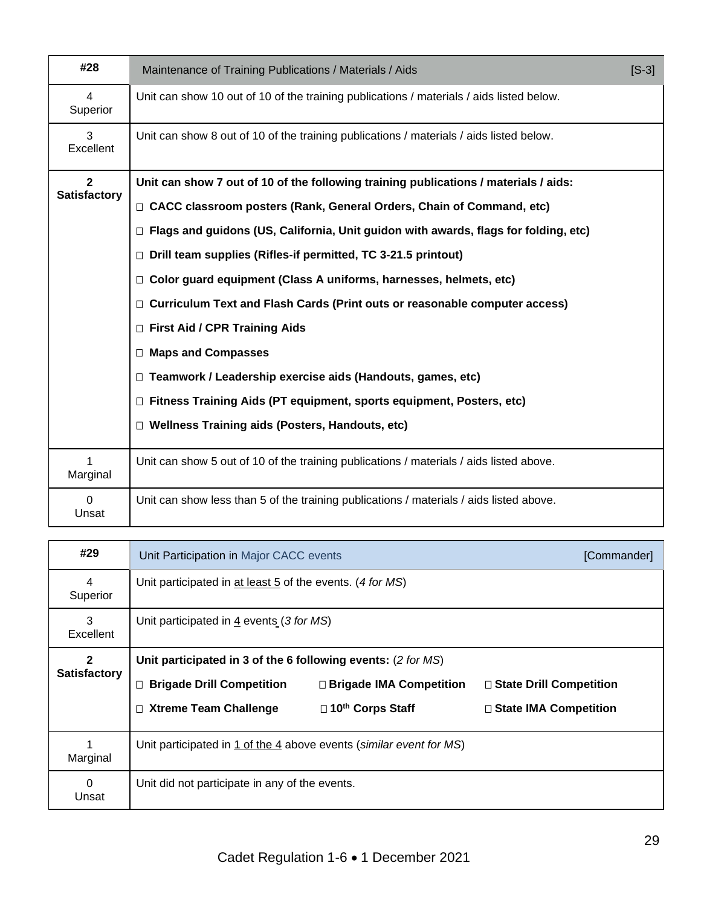| #28                        | Maintenance of Training Publications / Materials / Aids                                   | $[S-3]$ |
|----------------------------|-------------------------------------------------------------------------------------------|---------|
| $\overline{4}$<br>Superior | Unit can show 10 out of 10 of the training publications / materials / aids listed below.  |         |
| 3<br>Excellent             | Unit can show 8 out of 10 of the training publications / materials / aids listed below.   |         |
| $\overline{2}$             | Unit can show 7 out of 10 of the following training publications / materials / aids:      |         |
| Satisfactory               | □ CACC classroom posters (Rank, General Orders, Chain of Command, etc)                    |         |
|                            | Flags and guidons (US, California, Unit guidon with awards, flags for folding, etc)<br>П. |         |
|                            | $\Box$ Drill team supplies (Rifles-if permitted, TC 3-21.5 printout)                      |         |
|                            | □ Color guard equipment (Class A uniforms, harnesses, helmets, etc)                       |         |
|                            | □ Curriculum Text and Flash Cards (Print outs or reasonable computer access)              |         |
|                            | □ First Aid / CPR Training Aids                                                           |         |
|                            | □ Maps and Compasses                                                                      |         |
|                            | Teamwork / Leadership exercise aids (Handouts, games, etc)<br>$\Box$                      |         |
|                            | $\Box$ Fitness Training Aids (PT equipment, sports equipment, Posters, etc)               |         |
|                            | □ Wellness Training aids (Posters, Handouts, etc)                                         |         |
| 1<br>Marginal              | Unit can show 5 out of 10 of the training publications / materials / aids listed above.   |         |
| $\mathbf 0$<br>Unsat       | Unit can show less than 5 of the training publications / materials / aids listed above.   |         |

| #29                 | Unit Participation in Major CACC events<br>[Commander]              |                                |                           |
|---------------------|---------------------------------------------------------------------|--------------------------------|---------------------------|
| 4<br>Superior       | Unit participated in at least 5 of the events. (4 for MS)           |                                |                           |
| 3<br>Excellent      | Unit participated in $\frac{4}{5}$ events (3 for MS)                |                                |                           |
| $\mathbf{2}$        | Unit participated in 3 of the 6 following events: (2 for MS)        |                                |                           |
| <b>Satisfactory</b> | <b>Brigade Drill Competition</b><br>$\Box$                          | □ Brigade IMA Competition      | □ State Drill Competition |
|                     | □ Xtreme Team Challenge                                             | □ 10 <sup>th</sup> Corps Staff | □ State IMA Competition   |
| Marginal            | Unit participated in 1 of the 4 above events (similar event for MS) |                                |                           |
| $\Omega$<br>Unsat   | Unit did not participate in any of the events.                      |                                |                           |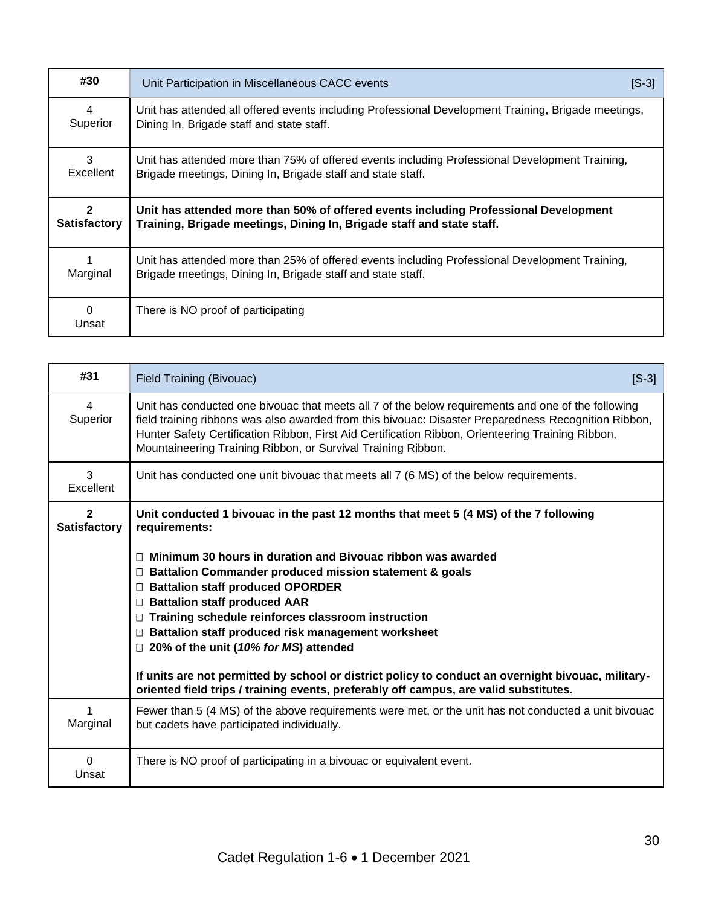| #30                 | [S-3]<br>Unit Participation in Miscellaneous CACC events                                                                                                      |
|---------------------|---------------------------------------------------------------------------------------------------------------------------------------------------------------|
| 4                   | Unit has attended all offered events including Professional Development Training, Brigade meetings,                                                           |
| Superior            | Dining In, Brigade staff and state staff.                                                                                                                     |
| 3                   | Unit has attended more than 75% of offered events including Professional Development Training,                                                                |
| Excellent           | Brigade meetings, Dining In, Brigade staff and state staff.                                                                                                   |
| $\mathbf{c}$        | Unit has attended more than 50% of offered events including Professional Development                                                                          |
| <b>Satisfactory</b> | Training, Brigade meetings, Dining In, Brigade staff and state staff.                                                                                         |
| Marginal            | Unit has attended more than 25% of offered events including Professional Development Training,<br>Brigade meetings, Dining In, Brigade staff and state staff. |
| $\Omega$<br>Unsat   | There is NO proof of participating                                                                                                                            |

| #31                                   | <b>Field Training (Bivouac)</b><br>$[S-3]$                                                                                                                                                                                                                                                                                                                                                                                                                                                                                                                                                              |
|---------------------------------------|---------------------------------------------------------------------------------------------------------------------------------------------------------------------------------------------------------------------------------------------------------------------------------------------------------------------------------------------------------------------------------------------------------------------------------------------------------------------------------------------------------------------------------------------------------------------------------------------------------|
| $\overline{4}$<br>Superior            | Unit has conducted one bivouac that meets all 7 of the below requirements and one of the following<br>field training ribbons was also awarded from this bivouac: Disaster Preparedness Recognition Ribbon,<br>Hunter Safety Certification Ribbon, First Aid Certification Ribbon, Orienteering Training Ribbon,<br>Mountaineering Training Ribbon, or Survival Training Ribbon.                                                                                                                                                                                                                         |
| 3<br>Excellent                        | Unit has conducted one unit bivouac that meets all 7 (6 MS) of the below requirements.                                                                                                                                                                                                                                                                                                                                                                                                                                                                                                                  |
| $\overline{2}$<br><b>Satisfactory</b> | Unit conducted 1 bivouac in the past 12 months that meet 5 (4 MS) of the 7 following<br>requirements:                                                                                                                                                                                                                                                                                                                                                                                                                                                                                                   |
|                                       | Minimum 30 hours in duration and Bivouac ribbon was awarded<br>$\Box$<br>□ Battalion Commander produced mission statement & goals<br>□ Battalion staff produced OPORDER<br><b>Battalion staff produced AAR</b><br>$\Box$<br>Training schedule reinforces classroom instruction<br>$\Box$<br>Battalion staff produced risk management worksheet<br>$\Box$<br>$\Box$ 20% of the unit (10% for MS) attended<br>If units are not permitted by school or district policy to conduct an overnight bivouac, military-<br>oriented field trips / training events, preferably off campus, are valid substitutes. |
| 1<br>Marginal                         | Fewer than 5 (4 MS) of the above requirements were met, or the unit has not conducted a unit bivouac<br>but cadets have participated individually.                                                                                                                                                                                                                                                                                                                                                                                                                                                      |
| $\mathbf 0$<br>Unsat                  | There is NO proof of participating in a bivouac or equivalent event.                                                                                                                                                                                                                                                                                                                                                                                                                                                                                                                                    |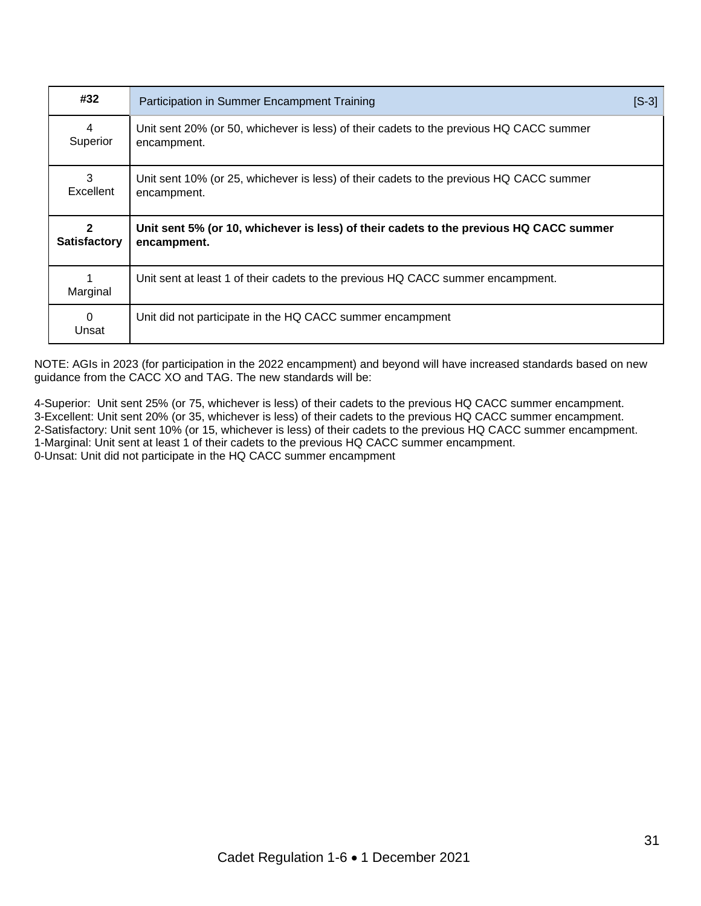| #32                 | Participation in Summer Encampment Training                                                            | $[S-3]$ |
|---------------------|--------------------------------------------------------------------------------------------------------|---------|
| 4<br>Superior       | Unit sent 20% (or 50, whichever is less) of their cadets to the previous HQ CACC summer<br>encampment. |         |
| 3<br>Excellent      | Unit sent 10% (or 25, whichever is less) of their cadets to the previous HQ CACC summer<br>encampment. |         |
| <b>Satisfactory</b> | Unit sent 5% (or 10, whichever is less) of their cadets to the previous HQ CACC summer<br>encampment.  |         |
|                     |                                                                                                        |         |
| Marginal            | Unit sent at least 1 of their cadets to the previous HQ CACC summer encampment.                        |         |

NOTE: AGIs in 2023 (for participation in the 2022 encampment) and beyond will have increased standards based on new guidance from the CACC XO and TAG. The new standards will be:

4-Superior: Unit sent 25% (or 75, whichever is less) of their cadets to the previous HQ CACC summer encampment. 3-Excellent: Unit sent 20% (or 35, whichever is less) of their cadets to the previous HQ CACC summer encampment. 2-Satisfactory: Unit sent 10% (or 15, whichever is less) of their cadets to the previous HQ CACC summer encampment. 1-Marginal: Unit sent at least 1 of their cadets to the previous HQ CACC summer encampment. 0-Unsat: Unit did not participate in the HQ CACC summer encampment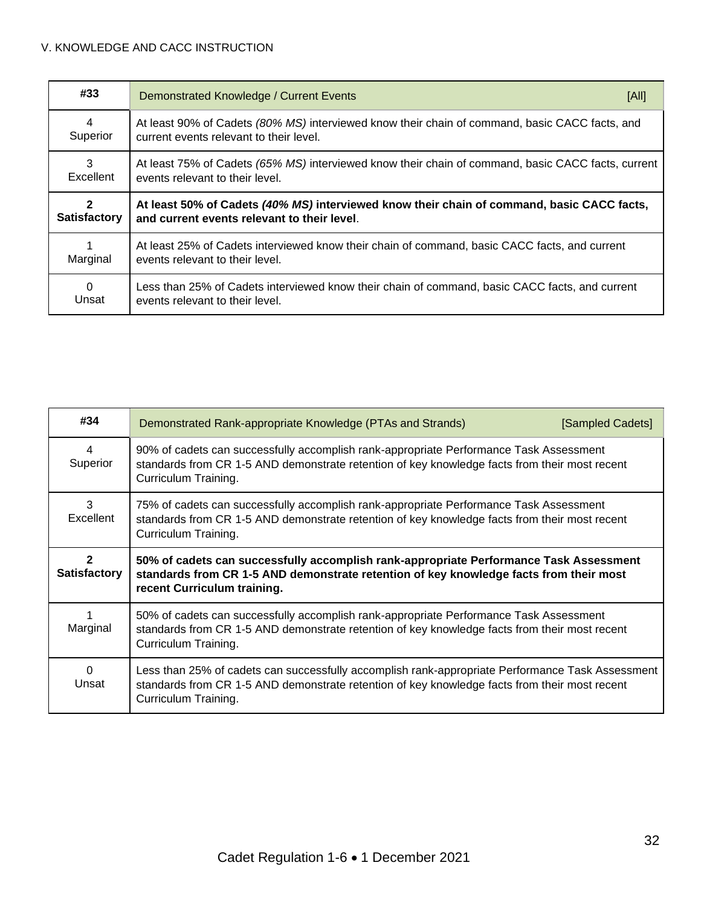| #33                                 | Demonstrated Knowledge / Current Events                                                                                                   | [All] |
|-------------------------------------|-------------------------------------------------------------------------------------------------------------------------------------------|-------|
| 4<br>Superior                       | At least 90% of Cadets (80% MS) interviewed know their chain of command, basic CACC facts, and<br>current events relevant to their level. |       |
| 3<br>Excellent                      | At least 75% of Cadets (65% MS) interviewed know their chain of command, basic CACC facts, current<br>events relevant to their level.     |       |
| $\mathbf{2}$<br><b>Satisfactory</b> | At least 50% of Cadets (40% MS) interviewed know their chain of command, basic CACC facts,<br>and current events relevant to their level. |       |
| Marginal                            | At least 25% of Cadets interviewed know their chain of command, basic CACC facts, and current<br>events relevant to their level.          |       |
| $\Omega$<br>Unsat                   | Less than 25% of Cadets interviewed know their chain of command, basic CACC facts, and current<br>events relevant to their level.         |       |

| #34                                 | Demonstrated Rank-appropriate Knowledge (PTAs and Strands)<br>[Sampled Cadets]                                                                                                                                            |  |
|-------------------------------------|---------------------------------------------------------------------------------------------------------------------------------------------------------------------------------------------------------------------------|--|
| 4<br>Superior                       | 90% of cadets can successfully accomplish rank-appropriate Performance Task Assessment<br>standards from CR 1-5 AND demonstrate retention of key knowledge facts from their most recent<br>Curriculum Training.           |  |
| 3<br>Excellent                      | 75% of cadets can successfully accomplish rank-appropriate Performance Task Assessment<br>standards from CR 1-5 AND demonstrate retention of key knowledge facts from their most recent<br>Curriculum Training.           |  |
| $\mathbf{2}$<br><b>Satisfactory</b> | 50% of cadets can successfully accomplish rank-appropriate Performance Task Assessment<br>standards from CR 1-5 AND demonstrate retention of key knowledge facts from their most<br>recent Curriculum training.           |  |
| Marginal                            | 50% of cadets can successfully accomplish rank-appropriate Performance Task Assessment<br>standards from CR 1-5 AND demonstrate retention of key knowledge facts from their most recent<br>Curriculum Training.           |  |
| $\Omega$<br>Unsat                   | Less than 25% of cadets can successfully accomplish rank-appropriate Performance Task Assessment<br>standards from CR 1-5 AND demonstrate retention of key knowledge facts from their most recent<br>Curriculum Training. |  |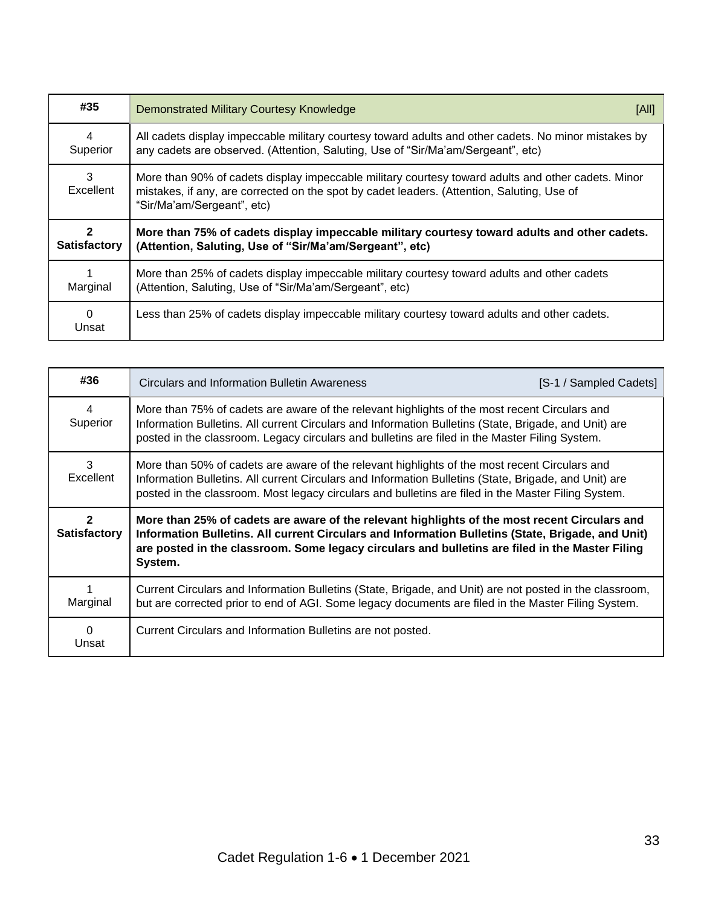| #35                      | <b>Demonstrated Military Courtesy Knowledge</b><br>[All]                                                                                                                                                                       |
|--------------------------|--------------------------------------------------------------------------------------------------------------------------------------------------------------------------------------------------------------------------------|
| 4<br>Superior            | All cadets display impeccable military courtesy toward adults and other cadets. No minor mistakes by<br>any cadets are observed. (Attention, Saluting, Use of "Sir/Ma'am/Sergeant", etc)                                       |
| 3<br>Excellent           | More than 90% of cadets display impeccable military courtesy toward adults and other cadets. Minor<br>mistakes, if any, are corrected on the spot by cadet leaders. (Attention, Saluting, Use of<br>"Sir/Ma'am/Sergeant", etc) |
| 2<br><b>Satisfactory</b> | More than 75% of cadets display impeccable military courtesy toward adults and other cadets.<br>(Attention, Saluting, Use of "Sir/Ma'am/Sergeant", etc)                                                                        |
| Marginal                 | More than 25% of cadets display impeccable military courtesy toward adults and other cadets<br>(Attention, Saluting, Use of "Sir/Ma'am/Sergeant", etc)                                                                         |
| $\Omega$<br>Unsat        | Less than 25% of cadets display impeccable military courtesy toward adults and other cadets.                                                                                                                                   |

| #36                 | Circulars and Information Bulletin Awareness                                                                                                                                                                                                                                                                     | [S-1 / Sampled Cadets] |
|---------------------|------------------------------------------------------------------------------------------------------------------------------------------------------------------------------------------------------------------------------------------------------------------------------------------------------------------|------------------------|
| 4<br>Superior       | More than 75% of cadets are aware of the relevant highlights of the most recent Circulars and<br>Information Bulletins. All current Circulars and Information Bulletins (State, Brigade, and Unit) are<br>posted in the classroom. Legacy circulars and bulletins are filed in the Master Filing System.         |                        |
| 3<br>Excellent      | More than 50% of cadets are aware of the relevant highlights of the most recent Circulars and<br>Information Bulletins. All current Circulars and Information Bulletins (State, Brigade, and Unit) are<br>posted in the classroom. Most legacy circulars and bulletins are filed in the Master Filing System.    |                        |
| <b>Satisfactory</b> | More than 25% of cadets are aware of the relevant highlights of the most recent Circulars and<br>Information Bulletins. All current Circulars and Information Bulletins (State, Brigade, and Unit)<br>are posted in the classroom. Some legacy circulars and bulletins are filed in the Master Filing<br>System. |                        |
| Marginal            | Current Circulars and Information Bulletins (State, Brigade, and Unit) are not posted in the classroom,<br>but are corrected prior to end of AGI. Some legacy documents are filed in the Master Filing System.                                                                                                   |                        |
|                     |                                                                                                                                                                                                                                                                                                                  |                        |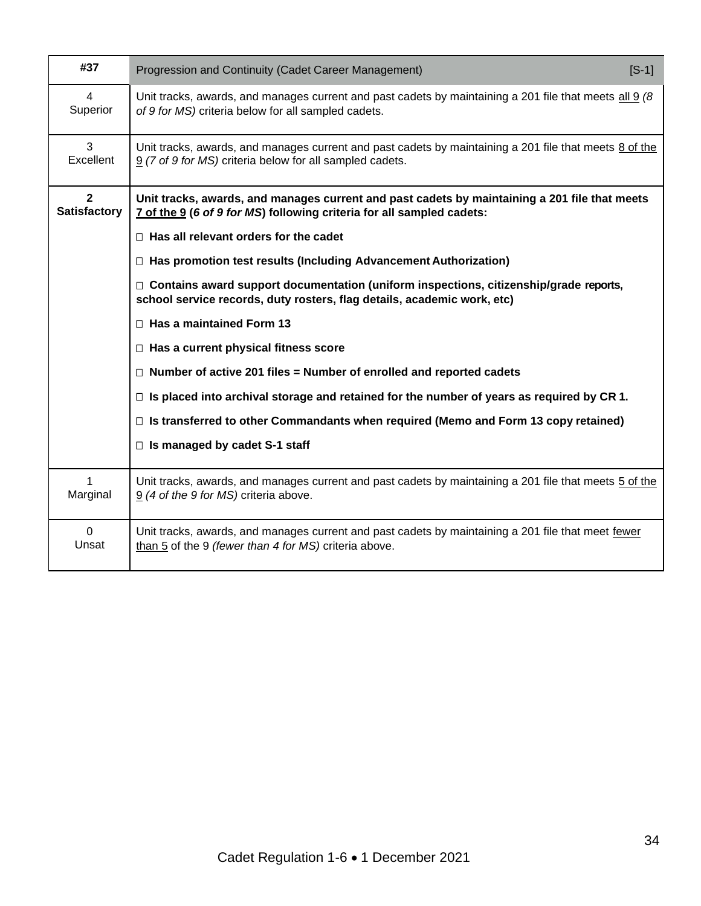| #37                                   | Progression and Continuity (Cadet Career Management)<br>$[S-1]$                                                                                                        |
|---------------------------------------|------------------------------------------------------------------------------------------------------------------------------------------------------------------------|
| $\overline{4}$<br>Superior            | Unit tracks, awards, and manages current and past cadets by maintaining a 201 file that meets all 9 (8)<br>of 9 for MS) criteria below for all sampled cadets.         |
| 3<br>Excellent                        | Unit tracks, awards, and manages current and past cadets by maintaining a 201 file that meets 8 of the<br>9 (7 of 9 for MS) criteria below for all sampled cadets.     |
| $\overline{2}$<br><b>Satisfactory</b> | Unit tracks, awards, and manages current and past cadets by maintaining a 201 file that meets<br>7 of the 9 (6 of 9 for MS) following criteria for all sampled cadets: |
|                                       | $\Box$ Has all relevant orders for the cadet                                                                                                                           |
|                                       | □ Has promotion test results (Including Advancement Authorization)                                                                                                     |
|                                       | □ Contains award support documentation (uniform inspections, citizenship/grade reports,<br>school service records, duty rosters, flag details, academic work, etc)     |
|                                       | $\Box$ Has a maintained Form 13                                                                                                                                        |
|                                       | $\Box$ Has a current physical fitness score                                                                                                                            |
|                                       | $\Box$ Number of active 201 files = Number of enrolled and reported cadets                                                                                             |
|                                       | $\Box$ Is placed into archival storage and retained for the number of years as required by CR 1.                                                                       |
|                                       | $\Box$ Is transferred to other Commandants when required (Memo and Form 13 copy retained)                                                                              |
|                                       | $\Box$ Is managed by cadet S-1 staff                                                                                                                                   |
| 1<br>Marginal                         | Unit tracks, awards, and manages current and past cadets by maintaining a 201 file that meets 5 of the<br>$9$ (4 of the 9 for MS) criteria above.                      |
| $\mathbf 0$<br>Unsat                  | Unit tracks, awards, and manages current and past cadets by maintaining a 201 file that meet fewer<br>than 5 of the 9 (fewer than 4 for MS) criteria above.            |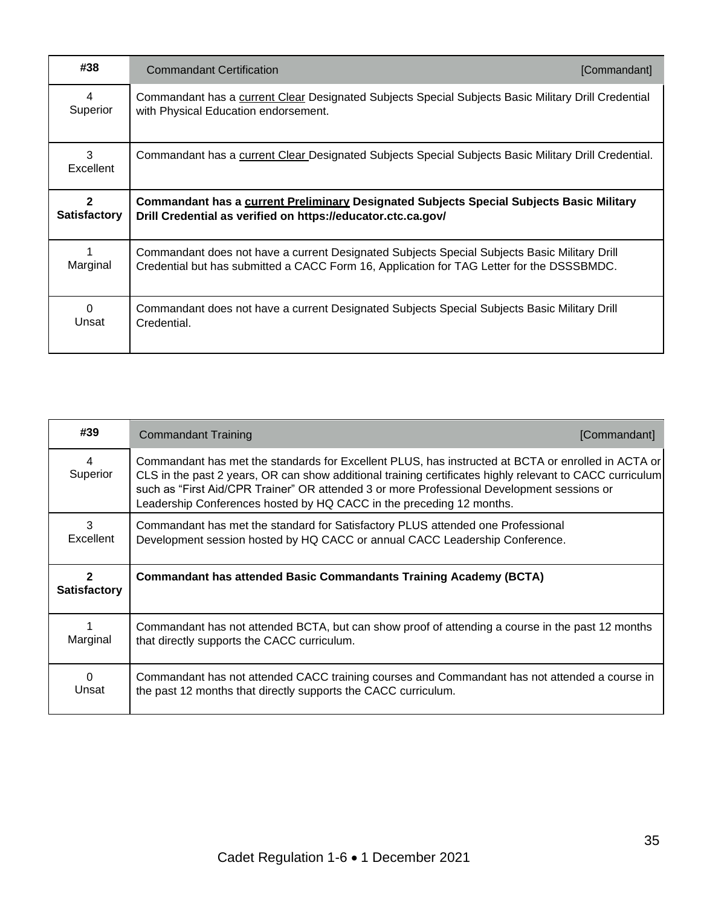| #38                 | <b>Commandant Certification</b><br>[Commandant]                                                                                                                                           |
|---------------------|-------------------------------------------------------------------------------------------------------------------------------------------------------------------------------------------|
| 4                   | Commandant has a current Clear Designated Subjects Special Subjects Basic Military Drill Credential                                                                                       |
| Superior            | with Physical Education endorsement.                                                                                                                                                      |
| 3<br>Excellent      | Commandant has a current Clear Designated Subjects Special Subjects Basic Military Drill Credential.                                                                                      |
| 2                   | Commandant has a current Preliminary Designated Subjects Special Subjects Basic Military                                                                                                  |
| <b>Satisfactory</b> | Drill Credential as verified on https://educator.ctc.ca.gov/                                                                                                                              |
| Marginal            | Commandant does not have a current Designated Subjects Special Subjects Basic Military Drill<br>Credential but has submitted a CACC Form 16, Application for TAG Letter for the DSSSBMDC. |
| $\Omega$            | Commandant does not have a current Designated Subjects Special Subjects Basic Military Drill                                                                                              |
| Unsat               | Credential.                                                                                                                                                                               |

| #39                      | Commandant Training<br>[Commandant]                                                                                                                                                                                                                                                                                                                                                  |
|--------------------------|--------------------------------------------------------------------------------------------------------------------------------------------------------------------------------------------------------------------------------------------------------------------------------------------------------------------------------------------------------------------------------------|
| 4<br>Superior            | Commandant has met the standards for Excellent PLUS, has instructed at BCTA or enrolled in ACTA or<br>CLS in the past 2 years, OR can show additional training certificates highly relevant to CACC curriculum<br>such as "First Aid/CPR Trainer" OR attended 3 or more Professional Development sessions or<br>Leadership Conferences hosted by HQ CACC in the preceding 12 months. |
| 3<br>Excellent           | Commandant has met the standard for Satisfactory PLUS attended one Professional<br>Development session hosted by HQ CACC or annual CACC Leadership Conference.                                                                                                                                                                                                                       |
| 2<br><b>Satisfactory</b> | <b>Commandant has attended Basic Commandants Training Academy (BCTA)</b>                                                                                                                                                                                                                                                                                                             |
| Marginal                 | Commandant has not attended BCTA, but can show proof of attending a course in the past 12 months<br>that directly supports the CACC curriculum.                                                                                                                                                                                                                                      |
| 0<br>Unsat               | Commandant has not attended CACC training courses and Commandant has not attended a course in<br>the past 12 months that directly supports the CACC curriculum.                                                                                                                                                                                                                      |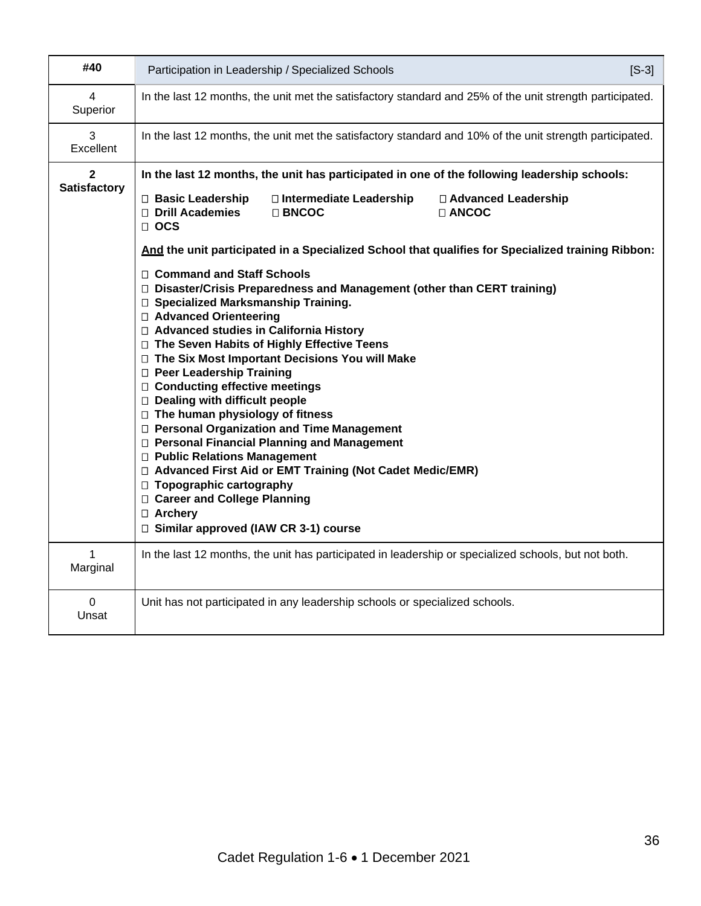| #40                                            | $[S-3]$<br>Participation in Leadership / Specialized Schools                                                                                                                                                                                                                                                                                                                                                                                                                                                                                                                                                                                                                                                                                                                                     |
|------------------------------------------------|--------------------------------------------------------------------------------------------------------------------------------------------------------------------------------------------------------------------------------------------------------------------------------------------------------------------------------------------------------------------------------------------------------------------------------------------------------------------------------------------------------------------------------------------------------------------------------------------------------------------------------------------------------------------------------------------------------------------------------------------------------------------------------------------------|
| 4<br>Superior                                  | In the last 12 months, the unit met the satisfactory standard and 25% of the unit strength participated.                                                                                                                                                                                                                                                                                                                                                                                                                                                                                                                                                                                                                                                                                         |
| 3<br>Excellent                                 | In the last 12 months, the unit met the satisfactory standard and 10% of the unit strength participated.                                                                                                                                                                                                                                                                                                                                                                                                                                                                                                                                                                                                                                                                                         |
| $\overline{\mathbf{2}}$<br><b>Satisfactory</b> | In the last 12 months, the unit has participated in one of the following leadership schools:                                                                                                                                                                                                                                                                                                                                                                                                                                                                                                                                                                                                                                                                                                     |
|                                                | □ Basic Leadership<br>□ Intermediate Leadership<br>□ Advanced Leadership<br>Drill Academies<br><b>□ BNCOC</b><br>$\Box$ ANCOC<br>$\Box$ OCS                                                                                                                                                                                                                                                                                                                                                                                                                                                                                                                                                                                                                                                      |
|                                                | And the unit participated in a Specialized School that qualifies for Specialized training Ribbon:                                                                                                                                                                                                                                                                                                                                                                                                                                                                                                                                                                                                                                                                                                |
|                                                | □ Command and Staff Schools<br>$\Box$ Disaster/Crisis Preparedness and Management (other than CERT training)<br>□ Specialized Marksmanship Training.<br>□ Advanced Orienteering<br>□ Advanced studies in California History<br>□ The Seven Habits of Highly Effective Teens<br>□ The Six Most Important Decisions You will Make<br><b>D</b> Peer Leadership Training<br>□ Conducting effective meetings<br>Dealing with difficult people<br>□ The human physiology of fitness<br>□ Personal Organization and Time Management<br>□ Personal Financial Planning and Management<br>□ Public Relations Management<br>□ Advanced First Aid or EMT Training (Not Cadet Medic/EMR)<br>□ Topographic cartography<br>□ Career and College Planning<br>□ Archery<br>□ Similar approved (IAW CR 3-1) course |
| 1<br>Marginal                                  | In the last 12 months, the unit has participated in leadership or specialized schools, but not both.                                                                                                                                                                                                                                                                                                                                                                                                                                                                                                                                                                                                                                                                                             |
| $\pmb{0}$<br>Unsat                             | Unit has not participated in any leadership schools or specialized schools.                                                                                                                                                                                                                                                                                                                                                                                                                                                                                                                                                                                                                                                                                                                      |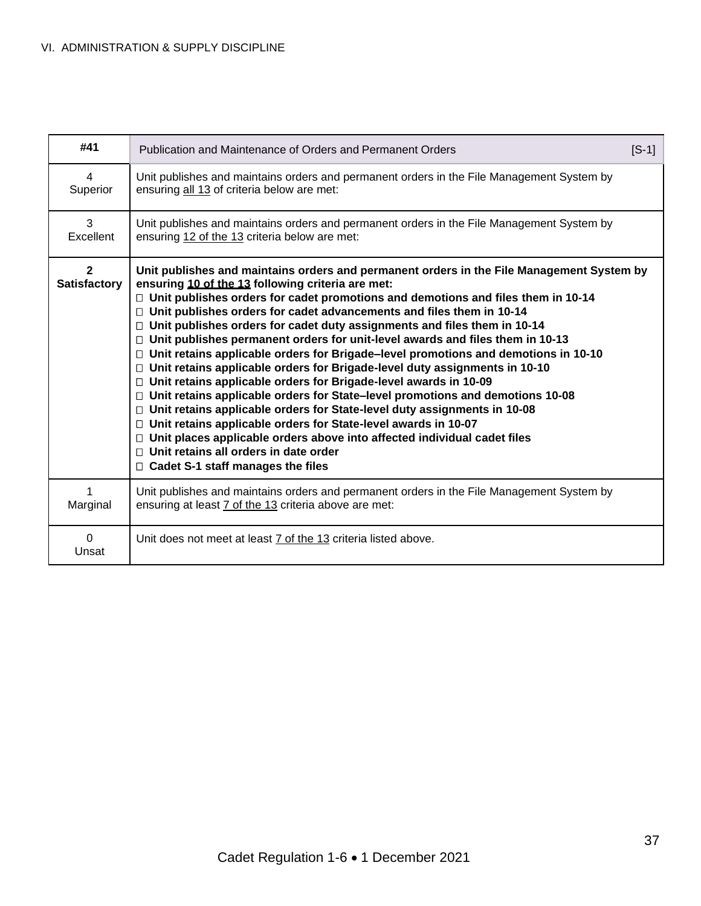| #41                                 | Publication and Maintenance of Orders and Permanent Orders                                                                                                                                                                                                                                                                                                                                                                                                                                                                                                                                                                                                                                                                                                                                                                                                                                                                                                                                                                                                                                                                                                  | $[S-1]$ |
|-------------------------------------|-------------------------------------------------------------------------------------------------------------------------------------------------------------------------------------------------------------------------------------------------------------------------------------------------------------------------------------------------------------------------------------------------------------------------------------------------------------------------------------------------------------------------------------------------------------------------------------------------------------------------------------------------------------------------------------------------------------------------------------------------------------------------------------------------------------------------------------------------------------------------------------------------------------------------------------------------------------------------------------------------------------------------------------------------------------------------------------------------------------------------------------------------------------|---------|
| $\overline{4}$<br>Superior          | Unit publishes and maintains orders and permanent orders in the File Management System by<br>ensuring all 13 of criteria below are met:                                                                                                                                                                                                                                                                                                                                                                                                                                                                                                                                                                                                                                                                                                                                                                                                                                                                                                                                                                                                                     |         |
| 3<br>Excellent                      | Unit publishes and maintains orders and permanent orders in the File Management System by<br>ensuring 12 of the 13 criteria below are met:                                                                                                                                                                                                                                                                                                                                                                                                                                                                                                                                                                                                                                                                                                                                                                                                                                                                                                                                                                                                                  |         |
| $\mathbf{2}$<br><b>Satisfactory</b> | Unit publishes and maintains orders and permanent orders in the File Management System by<br>ensuring 10 of the 13 following criteria are met:<br>$\Box$ Unit publishes orders for cadet promotions and demotions and files them in 10-14<br>□ Unit publishes orders for cadet advancements and files them in 10-14<br>$\Box$ Unit publishes orders for cadet duty assignments and files them in 10-14<br>$\Box$ Unit publishes permanent orders for unit-level awards and files them in 10-13<br>$\Box$ Unit retains applicable orders for Brigade–level promotions and demotions in 10-10<br>□ Unit retains applicable orders for Brigade-level duty assignments in 10-10<br>□ Unit retains applicable orders for Brigade-level awards in 10-09<br>□ Unit retains applicable orders for State-level promotions and demotions 10-08<br>□ Unit retains applicable orders for State-level duty assignments in 10-08<br>□ Unit retains applicable orders for State-level awards in 10-07<br>□ Unit places applicable orders above into affected individual cadet files<br>□ Unit retains all orders in date order<br>$\Box$ Cadet S-1 staff manages the files |         |
| 1<br>Marginal                       | Unit publishes and maintains orders and permanent orders in the File Management System by<br>ensuring at least 7 of the 13 criteria above are met:                                                                                                                                                                                                                                                                                                                                                                                                                                                                                                                                                                                                                                                                                                                                                                                                                                                                                                                                                                                                          |         |
| $\Omega$<br>Unsat                   | Unit does not meet at least 7 of the 13 criteria listed above.                                                                                                                                                                                                                                                                                                                                                                                                                                                                                                                                                                                                                                                                                                                                                                                                                                                                                                                                                                                                                                                                                              |         |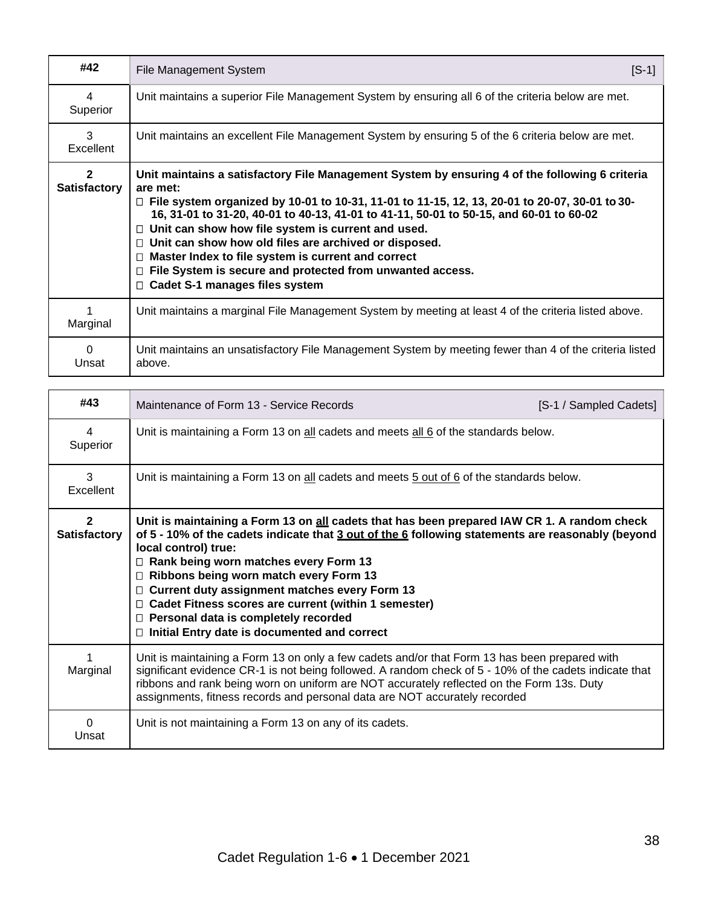| #42                        | $[S-1]$<br>File Management System                                                                                                                                                                                                                                                                                                                                                                                                                                                                                                                                                                  |
|----------------------------|----------------------------------------------------------------------------------------------------------------------------------------------------------------------------------------------------------------------------------------------------------------------------------------------------------------------------------------------------------------------------------------------------------------------------------------------------------------------------------------------------------------------------------------------------------------------------------------------------|
| $\overline{4}$<br>Superior | Unit maintains a superior File Management System by ensuring all 6 of the criteria below are met.                                                                                                                                                                                                                                                                                                                                                                                                                                                                                                  |
| 3<br>Excellent             | Unit maintains an excellent File Management System by ensuring 5 of the 6 criteria below are met.                                                                                                                                                                                                                                                                                                                                                                                                                                                                                                  |
| 2<br><b>Satisfactory</b>   | Unit maintains a satisfactory File Management System by ensuring 4 of the following 6 criteria<br>are met:<br>□ File system organized by 10-01 to 10-31, 11-01 to 11-15, 12, 13, 20-01 to 20-07, 30-01 to 30-<br>16, 31-01 to 31-20, 40-01 to 40-13, 41-01 to 41-11, 50-01 to 50-15, and 60-01 to 60-02<br>$\Box$ Unit can show how file system is current and used.<br>$\Box$ Unit can show how old files are archived or disposed.<br>$\Box$ Master Index to file system is current and correct<br>File System is secure and protected from unwanted access.<br>□ Cadet S-1 manages files system |
| Marginal                   | Unit maintains a marginal File Management System by meeting at least 4 of the criteria listed above.                                                                                                                                                                                                                                                                                                                                                                                                                                                                                               |
| $\Omega$<br>Unsat          | Unit maintains an unsatisfactory File Management System by meeting fewer than 4 of the criteria listed<br>above.                                                                                                                                                                                                                                                                                                                                                                                                                                                                                   |

| #43                                 | Maintenance of Form 13 - Service Records                                                                                                                                                                                                                                                                                                                                                                                                                                                                                                | [S-1 / Sampled Cadets] |
|-------------------------------------|-----------------------------------------------------------------------------------------------------------------------------------------------------------------------------------------------------------------------------------------------------------------------------------------------------------------------------------------------------------------------------------------------------------------------------------------------------------------------------------------------------------------------------------------|------------------------|
| $\overline{\mathbf{4}}$<br>Superior | Unit is maintaining a Form 13 on all cadets and meets all 6 of the standards below.                                                                                                                                                                                                                                                                                                                                                                                                                                                     |                        |
| 3<br>Excellent                      | Unit is maintaining a Form 13 on all cadets and meets 5 out of 6 of the standards below.                                                                                                                                                                                                                                                                                                                                                                                                                                                |                        |
| 2<br><b>Satisfactory</b>            | Unit is maintaining a Form 13 on all cadets that has been prepared IAW CR 1. A random check<br>of 5 - 10% of the cadets indicate that 3 out of the 6 following statements are reasonably (beyond<br>local control) true:<br>$\Box$ Rank being worn matches every Form 13<br>□ Ribbons being worn match every Form 13<br><b>Current duty assignment matches every Form 13</b><br>□ Cadet Fitness scores are current (within 1 semester)<br>□ Personal data is completely recorded<br>$\Box$ Initial Entry date is documented and correct |                        |
| Marginal                            | Unit is maintaining a Form 13 on only a few cadets and/or that Form 13 has been prepared with<br>significant evidence CR-1 is not being followed. A random check of 5 - 10% of the cadets indicate that<br>ribbons and rank being worn on uniform are NOT accurately reflected on the Form 13s. Duty<br>assignments, fitness records and personal data are NOT accurately recorded                                                                                                                                                      |                        |
| $\Omega$<br>Unsat                   | Unit is not maintaining a Form 13 on any of its cadets.                                                                                                                                                                                                                                                                                                                                                                                                                                                                                 |                        |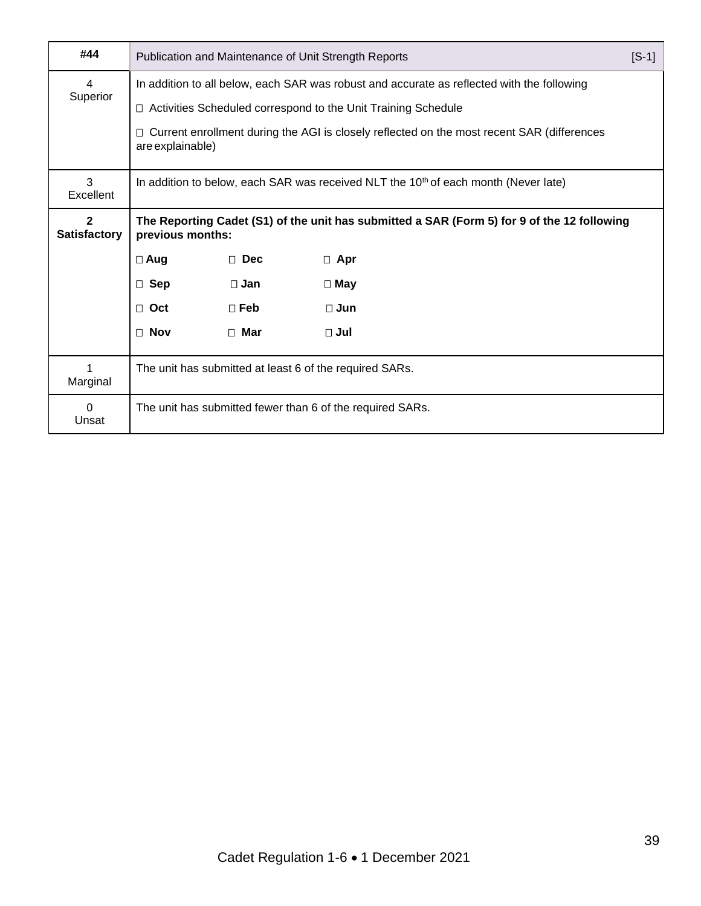| #44                                 |                                                                                                                 |               | Publication and Maintenance of Unit Strength Reports                                              | $[S-1]$ |
|-------------------------------------|-----------------------------------------------------------------------------------------------------------------|---------------|---------------------------------------------------------------------------------------------------|---------|
| 4                                   | In addition to all below, each SAR was robust and accurate as reflected with the following                      |               |                                                                                                   |         |
| Superior                            |                                                                                                                 |               | □ Activities Scheduled correspond to the Unit Training Schedule                                   |         |
|                                     | are explainable)                                                                                                |               | $\Box$ Current enrollment during the AGI is closely reflected on the most recent SAR (differences |         |
| 3<br>Excellent                      |                                                                                                                 |               | In addition to below, each SAR was received NLT the 10 <sup>th</sup> of each month (Never late)   |         |
| $\mathbf{2}$<br><b>Satisfactory</b> | The Reporting Cadet (S1) of the unit has submitted a SAR (Form 5) for 9 of the 12 following<br>previous months: |               |                                                                                                   |         |
|                                     | $\square$ Aug                                                                                                   | $\Box$ Dec    | $\Box$ Apr                                                                                        |         |
|                                     | $\Box$ Sep                                                                                                      | $\square$ Jan | $\Box$ May                                                                                        |         |
|                                     | $\Box$ Oct                                                                                                      | $\square$ Feb | $\square$ Jun                                                                                     |         |
|                                     | $\Box$ Nov                                                                                                      | $\Box$ Mar    | $\square$ Jul                                                                                     |         |
| Marginal                            |                                                                                                                 |               | The unit has submitted at least 6 of the required SARs.                                           |         |
| $\Omega$<br>Unsat                   |                                                                                                                 |               | The unit has submitted fewer than 6 of the required SARs.                                         |         |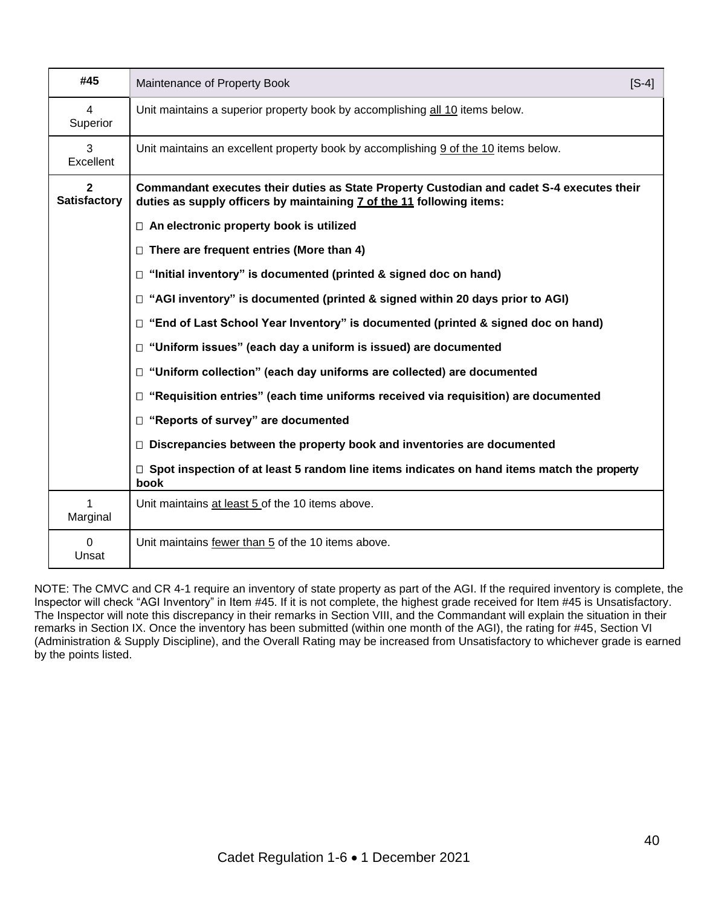| #45                                 | Maintenance of Property Book                                                                                                                                       | $[S-4]$ |
|-------------------------------------|--------------------------------------------------------------------------------------------------------------------------------------------------------------------|---------|
| $\overline{4}$<br>Superior          | Unit maintains a superior property book by accomplishing all 10 items below.                                                                                       |         |
| 3<br>Excellent                      | Unit maintains an excellent property book by accomplishing 9 of the 10 items below.                                                                                |         |
| $\mathbf{2}$<br><b>Satisfactory</b> | Commandant executes their duties as State Property Custodian and cadet S-4 executes their<br>duties as supply officers by maintaining 7 of the 11 following items: |         |
|                                     | $\Box$ An electronic property book is utilized                                                                                                                     |         |
|                                     | $\Box$ There are frequent entries (More than 4)                                                                                                                    |         |
|                                     | $\Box$ "Initial inventory" is documented (printed & signed doc on hand)                                                                                            |         |
|                                     | $\Box$ "AGI inventory" is documented (printed & signed within 20 days prior to AGI)                                                                                |         |
|                                     | $\Box$ "End of Last School Year Inventory" is documented (printed & signed doc on hand)                                                                            |         |
|                                     | □ "Uniform issues" (each day a uniform is issued) are documented                                                                                                   |         |
|                                     | □ "Uniform collection" (each day uniforms are collected) are documented                                                                                            |         |
|                                     | □ "Requisition entries" (each time uniforms received via requisition) are documented                                                                               |         |
|                                     | □ "Reports of survey" are documented                                                                                                                               |         |
|                                     | $\Box$ Discrepancies between the property book and inventories are documented                                                                                      |         |
|                                     | $\Box$ Spot inspection of at least 5 random line items indicates on hand items match the property<br>book                                                          |         |
| 1<br>Marginal                       | Unit maintains at least 5 of the 10 items above.                                                                                                                   |         |
| $\mathbf 0$<br>Unsat                | Unit maintains fewer than 5 of the 10 items above.                                                                                                                 |         |

NOTE: The CMVC and CR 4-1 require an inventory of state property as part of the AGI. If the required inventory is complete, the Inspector will check "AGI Inventory" in Item #45. If it is not complete, the highest grade received for Item #45 is Unsatisfactory. The Inspector will note this discrepancy in their remarks in Section VIII, and the Commandant will explain the situation in their remarks in Section IX. Once the inventory has been submitted (within one month of the AGI), the rating for #45, Section VI (Administration & Supply Discipline), and the Overall Rating may be increased from Unsatisfactory to whichever grade is earned by the points listed.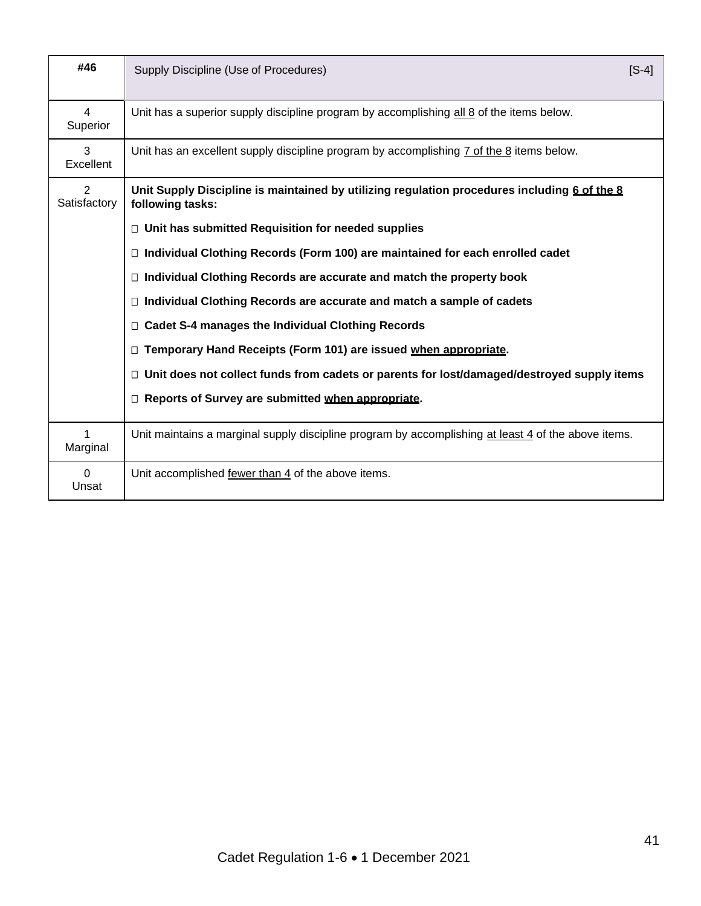| #46                        | Supply Discipline (Use of Procedures)                                                                            | $[S-4]$ |
|----------------------------|------------------------------------------------------------------------------------------------------------------|---------|
| $\overline{4}$<br>Superior | Unit has a superior supply discipline program by accomplishing all 8 of the items below.                         |         |
| 3<br>Excellent             | Unit has an excellent supply discipline program by accomplishing 7 of the 8 items below.                         |         |
| 2<br>Satisfactory          | Unit Supply Discipline is maintained by utilizing regulation procedures including 6 of the 8<br>following tasks: |         |
|                            | $\Box$ Unit has submitted Requisition for needed supplies                                                        |         |
|                            | □ Individual Clothing Records (Form 100) are maintained for each enrolled cadet                                  |         |
|                            | □ Individual Clothing Records are accurate and match the property book                                           |         |
|                            | □ Individual Clothing Records are accurate and match a sample of cadets                                          |         |
|                            | □ Cadet S-4 manages the Individual Clothing Records                                                              |         |
|                            | □ Temporary Hand Receipts (Form 101) are issued when appropriate.                                                |         |
|                            | □ Unit does not collect funds from cadets or parents for lost/damaged/destroyed supply items                     |         |
|                            | □ Reports of Survey are submitted when appropriate.                                                              |         |
| Marginal                   | Unit maintains a marginal supply discipline program by accomplishing at least 4 of the above items.              |         |
| $\Omega$<br>Unsat          | Unit accomplished fewer than 4 of the above items.                                                               |         |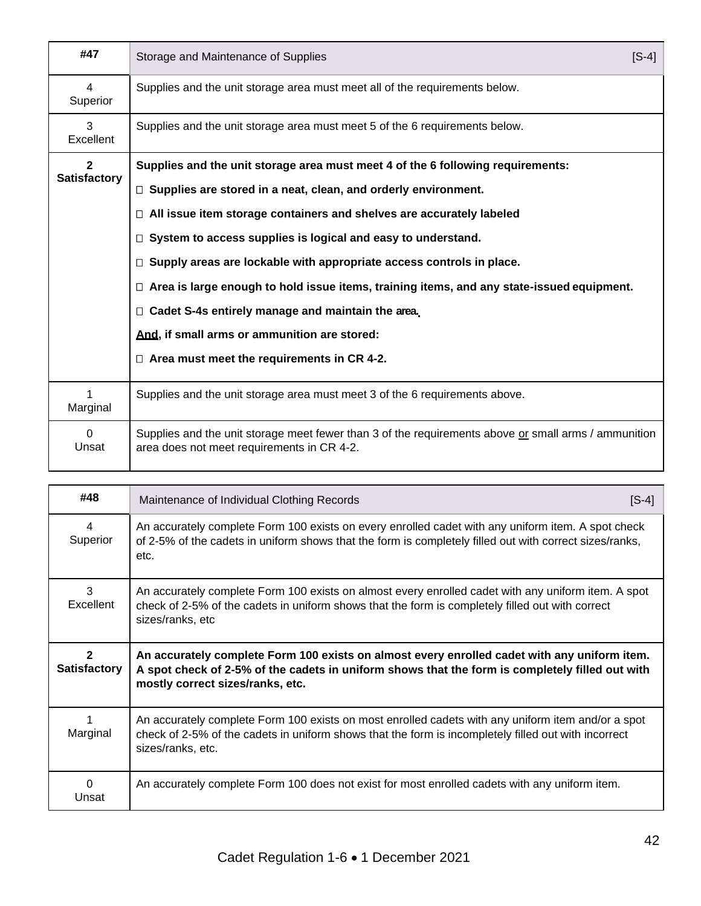| #47                                   | Storage and Maintenance of Supplies                                                                                                                | $[S-4]$ |
|---------------------------------------|----------------------------------------------------------------------------------------------------------------------------------------------------|---------|
| $\overline{4}$<br>Superior            | Supplies and the unit storage area must meet all of the requirements below.                                                                        |         |
| 3<br>Excellent                        | Supplies and the unit storage area must meet 5 of the 6 requirements below.                                                                        |         |
| $\overline{2}$<br><b>Satisfactory</b> | Supplies and the unit storage area must meet 4 of the 6 following requirements:                                                                    |         |
|                                       | $\Box$ Supplies are stored in a neat, clean, and orderly environment.                                                                              |         |
|                                       | □ All issue item storage containers and shelves are accurately labeled                                                                             |         |
|                                       | $\Box$ System to access supplies is logical and easy to understand.                                                                                |         |
|                                       | $\Box$ Supply areas are lockable with appropriate access controls in place.                                                                        |         |
|                                       | □ Area is large enough to hold issue items, training items, and any state-issued equipment.                                                        |         |
|                                       | $\Box$ Cadet S-4s entirely manage and maintain the area.                                                                                           |         |
|                                       | And, if small arms or ammunition are stored:                                                                                                       |         |
|                                       | $\Box$ Area must meet the requirements in CR 4-2.                                                                                                  |         |
| Marginal                              | Supplies and the unit storage area must meet 3 of the 6 requirements above.                                                                        |         |
| $\Omega$<br>Unsat                     | Supplies and the unit storage meet fewer than 3 of the requirements above or small arms / ammunition<br>area does not meet requirements in CR 4-2. |         |

| #48                                 | Maintenance of Individual Clothing Records<br>[S-4]                                                                                                                                                                                 |
|-------------------------------------|-------------------------------------------------------------------------------------------------------------------------------------------------------------------------------------------------------------------------------------|
| 4<br>Superior                       | An accurately complete Form 100 exists on every enrolled cadet with any uniform item. A spot check<br>of 2-5% of the cadets in uniform shows that the form is completely filled out with correct sizes/ranks,<br>etc.               |
| 3<br>Excellent                      | An accurately complete Form 100 exists on almost every enrolled cadet with any uniform item. A spot<br>check of 2-5% of the cadets in uniform shows that the form is completely filled out with correct<br>sizes/ranks, etc         |
| $\mathbf{c}$<br><b>Satisfactory</b> | An accurately complete Form 100 exists on almost every enrolled cadet with any uniform item.<br>A spot check of 2-5% of the cadets in uniform shows that the form is completely filled out with<br>mostly correct sizes/ranks, etc. |
| Marginal                            | An accurately complete Form 100 exists on most enrolled cadets with any uniform item and/or a spot<br>check of 2-5% of the cadets in uniform shows that the form is incompletely filled out with incorrect<br>sizes/ranks, etc.     |
| $\Omega$<br>Unsat                   | An accurately complete Form 100 does not exist for most enrolled cadets with any uniform item.                                                                                                                                      |